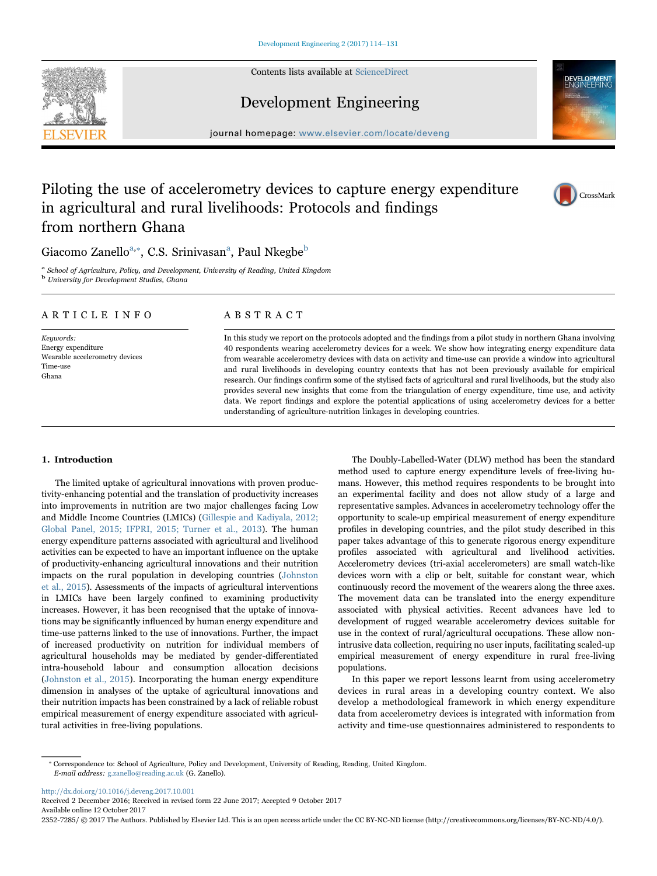Contents lists available at [ScienceDirect](http://www.sciencedirect.com/science/journal/23527285)





Development Engineering

journal homepage: [www.elsevier.com/locate/deveng](http://www.elsevier.com/locate/deveng)

# Piloting the use of accelerometry devices to capture energy expenditure in agricultural and rural livelihoods: Protocols and findings from northern Ghana



# Giacomo Zanello<sup>a,\*</sup>[, C.S. Srinivasan](#page-0-1)<sup>a</sup>[, Paul Nkegbe](#page-0-0)<sup>[b](#page-0-2)</sup>

<span id="page-0-2"></span><span id="page-0-0"></span><sup>a</sup> School of Agriculture, Policy, and Development, University of Reading, United Kingdom **b** University for Development Studies, Ghana

### ARTICLE INFO

Keywords: Energy expenditure Wearable accelerometry devices Time-use Ghana

## ABSTRACT

In this study we report on the protocols adopted and the findings from a pilot study in northern Ghana involving 40 respondents wearing accelerometry devices for a week. We show how integrating energy expenditure data from wearable accelerometry devices with data on activity and time-use can provide a window into agricultural and rural livelihoods in developing country contexts that has not been previously available for empirical research. Our findings confirm some of the stylised facts of agricultural and rural livelihoods, but the study also provides several new insights that come from the triangulation of energy expenditure, time use, and activity data. We report findings and explore the potential applications of using accelerometry devices for a better understanding of agriculture-nutrition linkages in developing countries.

#### 1. Introduction

The limited uptake of agricultural innovations with proven productivity-enhancing potential and the translation of productivity increases into improvements in nutrition are two major challenges facing Low and Middle Income Countries (LMICs) [\(Gillespie and Kadiyala, 2012;](#page-16-0) [Global Panel, 2015; IFPRI, 2015; Turner et al., 2013](#page-16-0)). The human energy expenditure patterns associated with agricultural and livelihood activities can be expected to have an important influence on the uptake of productivity-enhancing agricultural innovations and their nutrition impacts on the rural population in developing countries ([Johnston](#page-16-1) [et al., 2015](#page-16-1)). Assessments of the impacts of agricultural interventions in LMICs have been largely confined to examining productivity increases. However, it has been recognised that the uptake of innovations may be significantly influenced by human energy expenditure and time-use patterns linked to the use of innovations. Further, the impact of increased productivity on nutrition for individual members of agricultural households may be mediated by gender-differentiated intra-household labour and consumption allocation decisions ([Johnston et al., 2015\)](#page-16-1). Incorporating the human energy expenditure dimension in analyses of the uptake of agricultural innovations and their nutrition impacts has been constrained by a lack of reliable robust empirical measurement of energy expenditure associated with agricultural activities in free-living populations.

The Doubly-Labelled-Water (DLW) method has been the standard method used to capture energy expenditure levels of free-living humans. However, this method requires respondents to be brought into an experimental facility and does not allow study of a large and representative samples. Advances in accelerometry technology offer the opportunity to scale-up empirical measurement of energy expenditure profiles in developing countries, and the pilot study described in this paper takes advantage of this to generate rigorous energy expenditure profiles associated with agricultural and livelihood activities. Accelerometry devices (tri-axial accelerometers) are small watch-like devices worn with a clip or belt, suitable for constant wear, which continuously record the movement of the wearers along the three axes. The movement data can be translated into the energy expenditure associated with physical activities. Recent advances have led to development of rugged wearable accelerometry devices suitable for use in the context of rural/agricultural occupations. These allow nonintrusive data collection, requiring no user inputs, facilitating scaled-up empirical measurement of energy expenditure in rural free-living populations.

In this paper we report lessons learnt from using accelerometry devices in rural areas in a developing country context. We also develop a methodological framework in which energy expenditure data from accelerometry devices is integrated with information from activity and time-use questionnaires administered to respondents to

<http://dx.doi.org/10.1016/j.deveng.2017.10.001>

Received 2 December 2016; Received in revised form 22 June 2017; Accepted 9 October 2017 Available online 12 October 2017

2352-7285/ © 2017 The Authors. Published by Elsevier Ltd. This is an open access article under the CC BY-NC-ND license (http://creativecommons.org/licenses/BY-NC-ND/4.0/).

<span id="page-0-1"></span><sup>⁎</sup> Correspondence to: School of Agriculture, Policy and Development, University of Reading, Reading, United Kingdom. E-mail address: g.zanello@reading.ac.uk (G. Zanello).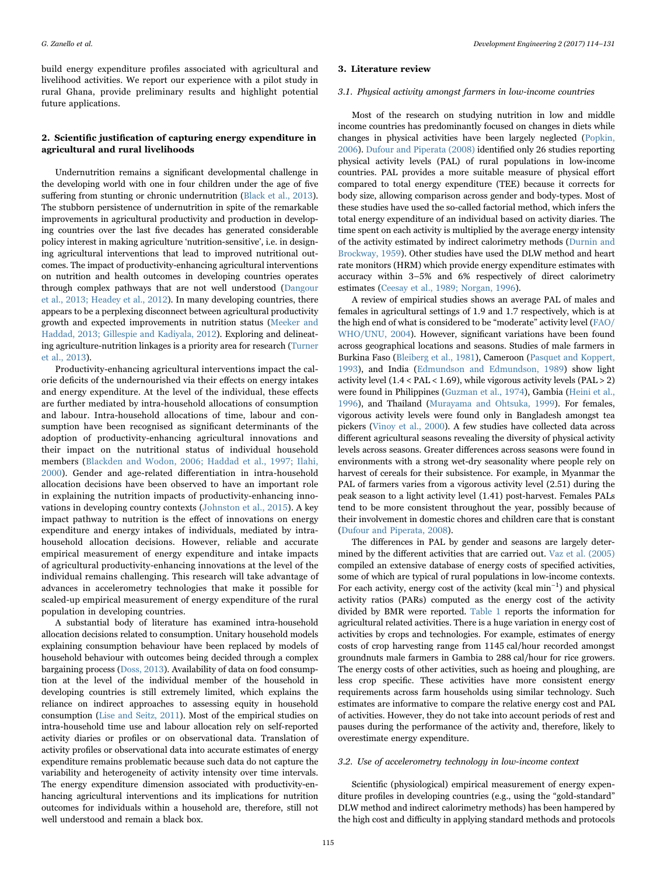build energy expenditure profiles associated with agricultural and livelihood activities. We report our experience with a pilot study in rural Ghana, provide preliminary results and highlight potential future applications.

### 2. Scientific justification of capturing energy expenditure in agricultural and rural livelihoods

Undernutrition remains a significant developmental challenge in the developing world with one in four children under the age of five suffering from stunting or chronic undernutrition [\(Black et al., 2013\)](#page-16-2). The stubborn persistence of undernutrition in spite of the remarkable improvements in agricultural productivity and production in developing countries over the last five decades has generated considerable policy interest in making agriculture 'nutrition-sensitive', i.e. in designing agricultural interventions that lead to improved nutritional outcomes. The impact of productivity-enhancing agricultural interventions on nutrition and health outcomes in developing countries operates through complex pathways that are not well understood ([Dangour](#page-16-3) [et al., 2013; Headey et al., 2012\)](#page-16-3). In many developing countries, there appears to be a perplexing disconnect between agricultural productivity growth and expected improvements in nutrition status [\(Meeker and](#page-16-0) [Haddad, 2013; Gillespie and Kadiyala, 2012](#page-16-0)). Exploring and delineating agriculture-nutrition linkages is a priority area for research [\(Turner](#page-17-0) [et al., 2013](#page-17-0)).

Productivity-enhancing agricultural interventions impact the calorie deficits of the undernourished via their effects on energy intakes and energy expenditure. At the level of the individual, these effects are further mediated by intra-household allocations of consumption and labour. Intra-household allocations of time, labour and consumption have been recognised as significant determinants of the adoption of productivity-enhancing agricultural innovations and their impact on the nutritional status of individual household members ([Blackden and Wodon, 2006; Haddad et al., 1997; Ilahi,](#page-16-4) [2000](#page-16-4)). Gender and age-related differentiation in intra-household allocation decisions have been observed to have an important role in explaining the nutrition impacts of productivity-enhancing innovations in developing country contexts ([Johnston et al., 2015\)](#page-16-1). A key impact pathway to nutrition is the effect of innovations on energy expenditure and energy intakes of individuals, mediated by intrahousehold allocation decisions. However, reliable and accurate empirical measurement of energy expenditure and intake impacts of agricultural productivity-enhancing innovations at the level of the individual remains challenging. This research will take advantage of advances in accelerometry technologies that make it possible for scaled-up empirical measurement of energy expenditure of the rural population in developing countries.

A substantial body of literature has examined intra-household allocation decisions related to consumption. Unitary household models explaining consumption behaviour have been replaced by models of household behaviour with outcomes being decided through a complex bargaining process [\(Doss, 2013\)](#page-16-5). Availability of data on food consumption at the level of the individual member of the household in developing countries is still extremely limited, which explains the reliance on indirect approaches to assessing equity in household consumption ([Lise and Seitz, 2011](#page-16-6)). Most of the empirical studies on intra-household time use and labour allocation rely on self-reported activity diaries or profiles or on observational data. Translation of activity profiles or observational data into accurate estimates of energy expenditure remains problematic because such data do not capture the variability and heterogeneity of activity intensity over time intervals. The energy expenditure dimension associated with productivity-enhancing agricultural interventions and its implications for nutrition outcomes for individuals within a household are, therefore, still not well understood and remain a black box.

#### 3. Literature review

#### 3.1. Physical activity amongst farmers in low-income countries

Most of the research on studying nutrition in low and middle income countries has predominantly focused on changes in diets while changes in physical activities have been largely neglected [\(Popkin,](#page-17-1) [2006\)](#page-17-1). [Dufour and Piperata \(2008\)](#page-16-7) identified only 26 studies reporting physical activity levels (PAL) of rural populations in low-income countries. PAL provides a more suitable measure of physical effort compared to total energy expenditure (TEE) because it corrects for body size, allowing comparison across gender and body-types. Most of these studies have used the so-called factorial method, which infers the total energy expenditure of an individual based on activity diaries. The time spent on each activity is multiplied by the average energy intensity of the activity estimated by indirect calorimetry methods [\(Durnin and](#page-16-8) [Brockway, 1959\)](#page-16-8). Other studies have used the DLW method and heart rate monitors (HRM) which provide energy expenditure estimates with accuracy within 3–5% and 6% respectively of direct calorimetry estimates ([Ceesay et al., 1989; Norgan, 1996](#page-16-9)).

A review of empirical studies shows an average PAL of males and females in agricultural settings of 1.9 and 1.7 respectively, which is at the high end of what is considered to be "moderate" activity level ([FAO/](#page-16-10) [WHO/UNU, 2004](#page-16-10)). However, significant variations have been found across geographical locations and seasons. Studies of male farmers in Burkina Faso [\(Bleiberg et al., 1981](#page-16-11)), Cameroon ([Pasquet and Koppert,](#page-17-2) [1993\)](#page-17-2), and India [\(Edmundson and Edmundson, 1989](#page-16-12)) show light activity level  $(1.4 < PAL < 1.69)$ , while vigorous activity levels  $(PAL > 2)$ were found in Philippines ([Guzman et al., 1974](#page-16-13)), Gambia [\(Heini et al.,](#page-16-14) [1996\)](#page-16-14), and Thailand ([Murayama and Ohtsuka, 1999\)](#page-16-15). For females, vigorous activity levels were found only in Bangladesh amongst tea pickers [\(Vinoy et al., 2000](#page-17-3)). A few studies have collected data across different agricultural seasons revealing the diversity of physical activity levels across seasons. Greater differences across seasons were found in environments with a strong wet-dry seasonality where people rely on harvest of cereals for their subsistence. For example, in Myanmar the PAL of farmers varies from a vigorous activity level (2.51) during the peak season to a light activity level (1.41) post-harvest. Females PALs tend to be more consistent throughout the year, possibly because of their involvement in domestic chores and children care that is constant ([Dufour and Piperata, 2008\)](#page-16-7).

The differences in PAL by gender and seasons are largely determined by the different activities that are carried out. [Vaz et al. \(2005\)](#page-17-4) compiled an extensive database of energy costs of specified activities, some of which are typical of rural populations in low-income contexts. For each activity, energy cost of the activity (kcal min−<sup>1</sup> ) and physical activity ratios (PARs) computed as the energy cost of the activity divided by BMR were reported. [Table 1](#page-2-0) reports the information for agricultural related activities. There is a huge variation in energy cost of activities by crops and technologies. For example, estimates of energy costs of crop harvesting range from 1145 cal/hour recorded amongst groundnuts male farmers in Gambia to 288 cal/hour for rice growers. The energy costs of other activities, such as hoeing and ploughing, are less crop specific. These activities have more consistent energy requirements across farm households using similar technology. Such estimates are informative to compare the relative energy cost and PAL of activities. However, they do not take into account periods of rest and pauses during the performance of the activity and, therefore, likely to overestimate energy expenditure.

#### 3.2. Use of accelerometry technology in low-income context

Scientific (physiological) empirical measurement of energy expenditure profiles in developing countries (e.g., using the "gold-standard" DLW method and indirect calorimetry methods) has been hampered by the high cost and difficulty in applying standard methods and protocols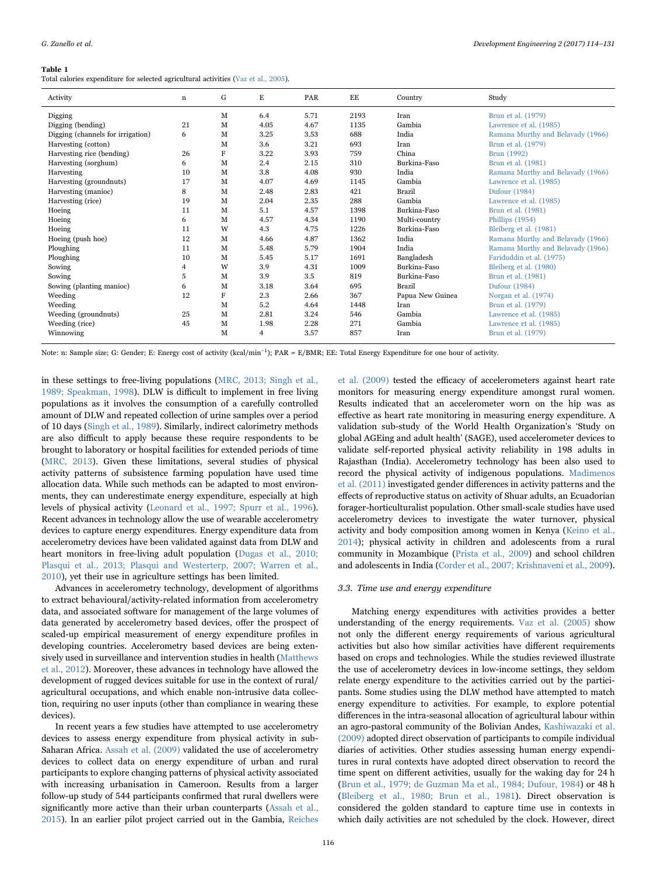<span id="page-2-0"></span>Total calories expenditure for selected agricultural activities ([Vaz et al., 2005\)](#page-17-4).

| Activity                          | n  | G | Е    | PAR  | EE   | Country          | Study                             |
|-----------------------------------|----|---|------|------|------|------------------|-----------------------------------|
| Digging                           |    | M | 6.4  | 5.71 | 2193 | Iran             | Brun et al. (1979)                |
| Digging (bending)                 | 21 | M | 4.05 | 4.67 | 1135 | Gambia           | Lawrence et al. (1985)            |
| Digging (channels for irrigation) | 6  | M | 3.25 | 3.53 | 688  | India            | Ramana Murthy and Belavady (1966) |
| Harvesting (cotton)               |    | М | 3.6  | 3.21 | 693  | Iran             | Brun et al. (1979)                |
| Harvesting rice (bending)         | 26 | F | 3.22 | 3.93 | 759  | China            | Brun (1992)                       |
| Harvesting (sorghum)              | 6  | M | 2.4  | 2.15 | 310  | Burkina-Faso     | Brun et al. (1981)                |
| Harvesting                        | 10 | M | 3.8  | 4.08 | 930  | India            | Ramana Murthy and Belavady (1966) |
| Harvesting (groundnuts)           | 17 | M | 4.07 | 4.69 | 1145 | Gambia           | Lawrence et al. (1985)            |
| Harvesting (manioc)               | 8  | M | 2.48 | 2.83 | 421  | <b>Brazil</b>    | <b>Dufour (1984)</b>              |
| Harvesting (rice)                 | 19 | M | 2.04 | 2.35 | 288  | Gambia           | Lawrence et al. (1985)            |
| Hoeing                            | 11 | M | 5.1  | 4.57 | 1398 | Burkina-Faso     | Brun et al. (1981)                |
| Hoeing                            | 6  | M | 4.57 | 4.34 | 1190 | Multi-country    | Phillips (1954)                   |
| Hoeing                            | 11 | W | 4.3  | 4.75 | 1226 | Burkina-Faso     | Bleiberg et al. (1981)            |
| Hoeing (push hoe)                 | 12 | M | 4.66 | 4.87 | 1362 | India            | Ramana Murthy and Belavady (1966) |
| Ploughing                         | 11 | M | 5.48 | 5.79 | 1904 | India            | Ramana Murthy and Belavady (1966) |
| Ploughing                         | 10 | M | 5.45 | 5.17 | 1691 | Bangladesh       | Fariduddin et al. (1975)          |
| Sowing                            | 4  | W | 3.9  | 4.31 | 1009 | Burkina-Faso     | Bleiberg et al. (1980)            |
| Sowing                            | 5  | M | 3.9  | 3.5  | 819  | Burkina-Faso     | Brun et al. (1981)                |
| Sowing (planting manioc)          | 6  | м | 3.18 | 3.64 | 695  | Brazil           | Dufour (1984)                     |
| Weeding                           | 12 | F | 2.3  | 2.66 | 367  | Papua New Guinea | Norgan et al. (1974)              |
| Weeding                           |    | M | 5.2  | 4.64 | 1448 | Iran             | Brun et al. (1979)                |
| Weeding (groundnuts)              | 25 | M | 2.81 | 3.24 | 546  | Gambia           | Lawrence et al. (1985)            |
| Weeding (rice)                    | 45 | M | 1.98 | 2.28 | 271  | Gambia           | Lawrence et al. (1985)            |
| Winnowing                         |    | М | 4    | 3.57 | 857  | Iran             | Brun et al. (1979)                |

Note: n: Sample size; G: Gender; E: Energy cost of activity (kcal/min−<sup>1</sup> ); PAR = E/BMR; EE: Total Energy Expenditure for one hour of activity.

in these settings to free-living populations ([MRC, 2013; Singh et al.,](#page-16-16) [1989; Speakman, 1998](#page-16-16)). DLW is difficult to implement in free living populations as it involves the consumption of a carefully controlled amount of DLW and repeated collection of urine samples over a period of 10 days [\(Singh et al., 1989\)](#page-17-5). Similarly, indirect calorimetry methods are also difficult to apply because these require respondents to be brought to laboratory or hospital facilities for extended periods of time ([MRC, 2013\)](#page-16-16). Given these limitations, several studies of physical activity patterns of subsistence farming population have used time allocation data. While such methods can be adapted to most environments, they can underestimate energy expenditure, especially at high levels of physical activity ([Leonard et al., 1997; Spurr et al., 1996\)](#page-16-17). Recent advances in technology allow the use of wearable accelerometry devices to capture energy expenditures. Energy expenditure data from accelerometry devices have been validated against data from DLW and heart monitors in free-living adult population [\(Dugas et al., 2010;](#page-16-18) [Plasqui et al., 2013; Plasqui and Westerterp, 2007; Warren et al.,](#page-16-18) [2010\)](#page-16-18), yet their use in agriculture settings has been limited.

Advances in accelerometry technology, development of algorithms to extract behavioural/activity-related information from accelerometry data, and associated software for management of the large volumes of data generated by accelerometry based devices, offer the prospect of scaled-up empirical measurement of energy expenditure profiles in developing countries. Accelerometry based devices are being extensively used in surveillance and intervention studies in health ([Matthews](#page-16-19) [et al., 2012](#page-16-19)). Moreover, these advances in technology have allowed the development of rugged devices suitable for use in the context of rural/ agricultural occupations, and which enable non-intrusive data collection, requiring no user inputs (other than compliance in wearing these devices).

In recent years a few studies have attempted to use accelerometry devices to assess energy expenditure from physical activity in sub-Saharan Africa. [Assah et al. \(2009\)](#page-16-20) validated the use of accelerometry devices to collect data on energy expenditure of urban and rural participants to explore changing patterns of physical activity associated with increasing urbanisation in Cameroon. Results from a larger follow-up study of 544 participants confirmed that rural dwellers were significantly more active than their urban counterparts [\(Assah et al.,](#page-16-21) [2015\)](#page-16-21). In an earlier pilot project carried out in the Gambia, [Reiches](#page-17-6)

[et al. \(2009\)](#page-17-6) tested the efficacy of accelerometers against heart rate monitors for measuring energy expenditure amongst rural women. Results indicated that an accelerometer worn on the hip was as effective as heart rate monitoring in measuring energy expenditure. A validation sub-study of the World Health Organization's 'Study on global AGEing and adult health' (SAGE), used accelerometer devices to validate self-reported physical activity reliability in 198 adults in Rajasthan (India). Accelerometry technology has been also used to record the physical activity of indigenous populations. [Madimenos](#page-16-22) [et al. \(2011\)](#page-16-22) investigated gender differences in activity patterns and the effects of reproductive status on activity of Shuar adults, an Ecuadorian forager-horticulturalist population. Other small-scale studies have used accelerometry devices to investigate the water turnover, physical activity and body composition among women in Kenya [\(Keino et al.,](#page-16-23) [2014\)](#page-16-23); physical activity in children and adolescents from a rural community in Mozambique [\(Prista et al., 2009](#page-17-7)) and school children and adolescents in India ([Corder et al., 2007; Krishnaveni et al., 2009\)](#page-16-24).

#### 3.3. Time use and energy expenditure

Matching energy expenditures with activities provides a better understanding of the energy requirements. [Vaz et al. \(2005\)](#page-17-4) show not only the different energy requirements of various agricultural activities but also how similar activities have different requirements based on crops and technologies. While the studies reviewed illustrate the use of accelerometry devices in low-income settings, they seldom relate energy expenditure to the activities carried out by the participants. Some studies using the DLW method have attempted to match energy expenditure to activities. For example, to explore potential differences in the intra-seasonal allocation of agricultural labour within an agro-pastoral community of the Bolivian Andes, [Kashiwazaki et al.](#page-16-25) [\(2009\)](#page-16-25) adopted direct observation of participants to compile individual diaries of activities. Other studies assessing human energy expenditures in rural contexts have adopted direct observation to record the time spent on different activities, usually for the waking day for 24 h ([Brun et al., 1979; de Guzman Ma et al., 1984; Dufour, 1984](#page-16-26)) or 48 h ([Bleiberg et al., 1980; Brun et al., 1981](#page-16-27)). Direct observation is considered the golden standard to capture time use in contexts in which daily activities are not scheduled by the clock. However, direct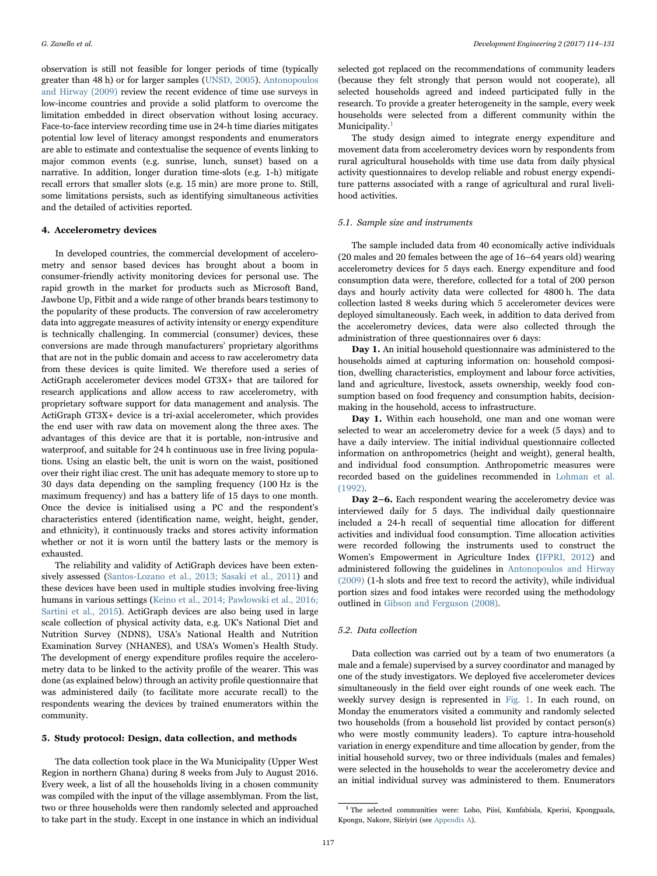observation is still not feasible for longer periods of time (typically greater than 48 h) or for larger samples ([UNSD, 2005](#page-17-11)). [Antonopoulos](#page-16-33) [and Hirway \(2009\)](#page-16-33) review the recent evidence of time use surveys in low-income countries and provide a solid platform to overcome the limitation embedded in direct observation without losing accuracy. Face-to-face interview recording time use in 24-h time diaries mitigates potential low level of literacy amongst respondents and enumerators are able to estimate and contextualise the sequence of events linking to major common events (e.g. sunrise, lunch, sunset) based on a narrative. In addition, longer duration time-slots (e.g. 1-h) mitigate recall errors that smaller slots (e.g. 15 min) are more prone to. Still, some limitations persists, such as identifying simultaneous activities and the detailed of activities reported.

#### 4. Accelerometry devices

In developed countries, the commercial development of accelerometry and sensor based devices has brought about a boom in consumer-friendly activity monitoring devices for personal use. The rapid growth in the market for products such as Microsoft Band, Jawbone Up, Fitbit and a wide range of other brands bears testimony to the popularity of these products. The conversion of raw accelerometry data into aggregate measures of activity intensity or energy expenditure is technically challenging. In commercial (consumer) devices, these conversions are made through manufacturers' proprietary algorithms that are not in the public domain and access to raw accelerometry data from these devices is quite limited. We therefore used a series of ActiGraph accelerometer devices model GT3X+ that are tailored for research applications and allow access to raw accelerometry, with proprietary software support for data management and analysis. The ActiGraph GT3X+ device is a tri-axial accelerometer, which provides the end user with raw data on movement along the three axes. The advantages of this device are that it is portable, non-intrusive and waterproof, and suitable for 24 h continuous use in free living populations. Using an elastic belt, the unit is worn on the waist, positioned over their right iliac crest. The unit has adequate memory to store up to 30 days data depending on the sampling frequency (100 Hz is the maximum frequency) and has a battery life of 15 days to one month. Once the device is initialised using a PC and the respondent's characteristics entered (identification name, weight, height, gender, and ethnicity), it continuously tracks and stores activity information whether or not it is worn until the battery lasts or the memory is exhausted.

The reliability and validity of ActiGraph devices have been extensively assessed [\(Santos-Lozano et al., 2013; Sasaki et al., 2011\)](#page-17-12) and these devices have been used in multiple studies involving free-living humans in various settings ([Keino et al., 2014; Pawlowski et al., 2016;](#page-16-23) [Sartini et al., 2015](#page-16-23)). ActiGraph devices are also being used in large scale collection of physical activity data, e.g. UK's National Diet and Nutrition Survey (NDNS), USA's National Health and Nutrition Examination Survey (NHANES), and USA's Women's Health Study. The development of energy expenditure profiles require the accelerometry data to be linked to the activity profile of the wearer. This was done (as explained below) through an activity profile questionnaire that was administered daily (to facilitate more accurate recall) to the respondents wearing the devices by trained enumerators within the community.

#### 5. Study protocol: Design, data collection, and methods

The data collection took place in the Wa Municipality (Upper West Region in northern Ghana) during 8 weeks from July to August 2016. Every week, a list of all the households living in a chosen community was compiled with the input of the village assemblyman. From the list, two or three households were then randomly selected and approached to take part in the study. Except in one instance in which an individual

selected got replaced on the recommendations of community leaders (because they felt strongly that person would not cooperate), all selected households agreed and indeed participated fully in the research. To provide a greater heterogeneity in the sample, every week households were selected from a different community within the Municipality.<sup>[1](#page-3-0)</sup>

The study design aimed to integrate energy expenditure and movement data from accelerometry devices worn by respondents from rural agricultural households with time use data from daily physical activity questionnaires to develop reliable and robust energy expenditure patterns associated with a range of agricultural and rural livelihood activities.

#### 5.1. Sample size and instruments

The sample included data from 40 economically active individuals (20 males and 20 females between the age of 16–64 years old) wearing accelerometry devices for 5 days each. Energy expenditure and food consumption data were, therefore, collected for a total of 200 person days and hourly activity data were collected for 4800 h. The data collection lasted 8 weeks during which 5 accelerometer devices were deployed simultaneously. Each week, in addition to data derived from the accelerometry devices, data were also collected through the administration of three questionnaires over 6 days:

Day 1. An initial household questionnaire was administered to the households aimed at capturing information on: household composition, dwelling characteristics, employment and labour force activities, land and agriculture, livestock, assets ownership, weekly food consumption based on food frequency and consumption habits, decisionmaking in the household, access to infrastructure.

Day 1. Within each household, one man and one woman were selected to wear an accelerometry device for a week (5 days) and to have a daily interview. The initial individual questionnaire collected information on anthropometrics (height and weight), general health, and individual food consumption. Anthropometric measures were recorded based on the guidelines recommended in [Lohman et al.](#page-16-34) [\(1992\).](#page-16-34)

Day 2–6. Each respondent wearing the accelerometry device was interviewed daily for 5 days. The individual daily questionnaire included a 24-h recall of sequential time allocation for different activities and individual food consumption. Time allocation activities were recorded following the instruments used to construct the Women's Empowerment in Agriculture Index [\(IFPRI, 2012\)](#page-16-35) and administered following the guidelines in [Antonopoulos and Hirway](#page-16-33) [\(2009\)](#page-16-33) (1-h slots and free text to record the activity), while individual portion sizes and food intakes were recorded using the methodology outlined in [Gibson and Ferguson \(2008\).](#page-16-36)

#### 5.2. Data collection

Data collection was carried out by a team of two enumerators (a male and a female) supervised by a survey coordinator and managed by one of the study investigators. We deployed five accelerometer devices simultaneously in the field over eight rounds of one week each. The weekly survey design is represented in [Fig. 1.](#page-4-0) In each round, on Monday the enumerators visited a community and randomly selected two households (from a household list provided by contact person(s) who were mostly community leaders). To capture intra-household variation in energy expenditure and time allocation by gender, from the initial household survey, two or three individuals (males and females) were selected in the households to wear the accelerometry device and an initial individual survey was administered to them. Enumerators

<span id="page-3-0"></span><sup>1</sup> The selected communities were: Loho, Piisi, Kunfabiala, Kperisi, Kpongpaala, Kpongu, Nakore, Siiriyiri (see [Appendix A\)](#page-13-0).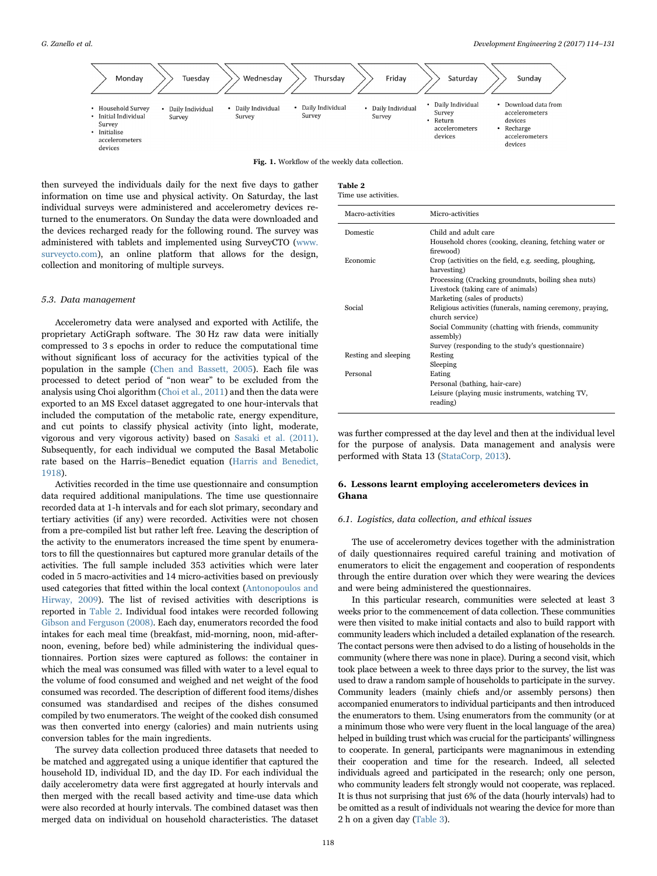<span id="page-4-0"></span>

Fig. 1. Workflow of the weekly data collection.

then surveyed the individuals daily for the next five days to gather information on time use and physical activity. On Saturday, the last individual surveys were administered and accelerometry devices returned to the enumerators. On Sunday the data were downloaded and the devices recharged ready for the following round. The survey was administered with tablets and implemented using SurveyCTO ([www.](http://www.surveycto.com) [surveycto.com](http://www.surveycto.com)), an online platform that allows for the design, collection and monitoring of multiple surveys.

#### 5.3. Data management

Accelerometry data were analysed and exported with Actilife, the proprietary ActiGraph software. The 30 Hz raw data were initially compressed to 3 s epochs in order to reduce the computational time without significant loss of accuracy for the activities typical of the population in the sample [\(Chen and Bassett, 2005](#page-16-37)). Each file was processed to detect period of "non wear" to be excluded from the analysis using Choi algorithm [\(Choi et al., 2011\)](#page-16-38) and then the data were exported to an MS Excel dataset aggregated to one hour-intervals that included the computation of the metabolic rate, energy expenditure, and cut points to classify physical activity (into light, moderate, vigorous and very vigorous activity) based on [Sasaki et al. \(2011\).](#page-17-13) Subsequently, for each individual we computed the Basal Metabolic rate based on the Harris–Benedict equation ([Harris and Benedict,](#page-16-39) [1918\)](#page-16-39).

Activities recorded in the time use questionnaire and consumption data required additional manipulations. The time use questionnaire recorded data at 1-h intervals and for each slot primary, secondary and tertiary activities (if any) were recorded. Activities were not chosen from a pre-compiled list but rather left free. Leaving the description of the activity to the enumerators increased the time spent by enumerators to fill the questionnaires but captured more granular details of the activities. The full sample included 353 activities which were later coded in 5 macro-activities and 14 micro-activities based on previously used categories that fitted within the local context [\(Antonopoulos and](#page-16-33) [Hirway, 2009\)](#page-16-33). The list of revised activities with descriptions is reported in [Table 2.](#page-4-1) Individual food intakes were recorded following [Gibson and Ferguson \(2008\).](#page-16-36) Each day, enumerators recorded the food intakes for each meal time (breakfast, mid-morning, noon, mid-afternoon, evening, before bed) while administering the individual questionnaires. Portion sizes were captured as follows: the container in which the meal was consumed was filled with water to a level equal to the volume of food consumed and weighed and net weight of the food consumed was recorded. The description of different food items/dishes consumed was standardised and recipes of the dishes consumed compiled by two enumerators. The weight of the cooked dish consumed was then converted into energy (calories) and main nutrients using conversion tables for the main ingredients.

The survey data collection produced three datasets that needed to be matched and aggregated using a unique identifier that captured the household ID, individual ID, and the day ID. For each individual the daily accelerometry data were first aggregated at hourly intervals and then merged with the recall based activity and time-use data which were also recorded at hourly intervals. The combined dataset was then merged data on individual on household characteristics. The dataset

<span id="page-4-1"></span>Table 2 Time use activities.

| Macro-activities     | Micro-activities                                                             |
|----------------------|------------------------------------------------------------------------------|
| Domestic             | Child and adult care                                                         |
|                      | Household chores (cooking, cleaning, fetching water or<br>firewood)          |
| Economic             | Crop (activities on the field, e.g. seeding, ploughing,<br>harvesting)       |
|                      | Processing (Cracking groundnuts, boiling shea nuts)                          |
|                      | Livestock (taking care of animals)                                           |
|                      | Marketing (sales of products)                                                |
| Social               | Religious activities (funerals, naming ceremony, praying,<br>church service) |
|                      | Social Community (chatting with friends, community<br>assembly)              |
|                      | Survey (responding to the study's questionnaire)                             |
| Resting and sleeping | Resting                                                                      |
|                      | Sleeping                                                                     |
| Personal             | Eating                                                                       |
|                      | Personal (bathing, hair-care)                                                |
|                      | Leisure (playing music instruments, watching TV,                             |
|                      | reading)                                                                     |

was further compressed at the day level and then at the individual level for the purpose of analysis. Data management and analysis were performed with Stata 13 [\(StataCorp, 2013](#page-17-14)).

### 6. Lessons learnt employing accelerometers devices in Ghana

#### 6.1. Logistics, data collection, and ethical issues

The use of accelerometry devices together with the administration of daily questionnaires required careful training and motivation of enumerators to elicit the engagement and cooperation of respondents through the entire duration over which they were wearing the devices and were being administered the questionnaires.

In this particular research, communities were selected at least 3 weeks prior to the commencement of data collection. These communities were then visited to make initial contacts and also to build rapport with community leaders which included a detailed explanation of the research. The contact persons were then advised to do a listing of households in the community (where there was none in place). During a second visit, which took place between a week to three days prior to the survey, the list was used to draw a random sample of households to participate in the survey. Community leaders (mainly chiefs and/or assembly persons) then accompanied enumerators to individual participants and then introduced the enumerators to them. Using enumerators from the community (or at a minimum those who were very fluent in the local language of the area) helped in building trust which was crucial for the participants' willingness to cooperate. In general, participants were magnanimous in extending their cooperation and time for the research. Indeed, all selected individuals agreed and participated in the research; only one person, who community leaders felt strongly would not cooperate, was replaced. It is thus not surprising that just 6% of the data (hourly intervals) had to be omitted as a result of individuals not wearing the device for more than 2 h on a given day ([Table 3\)](#page-5-0).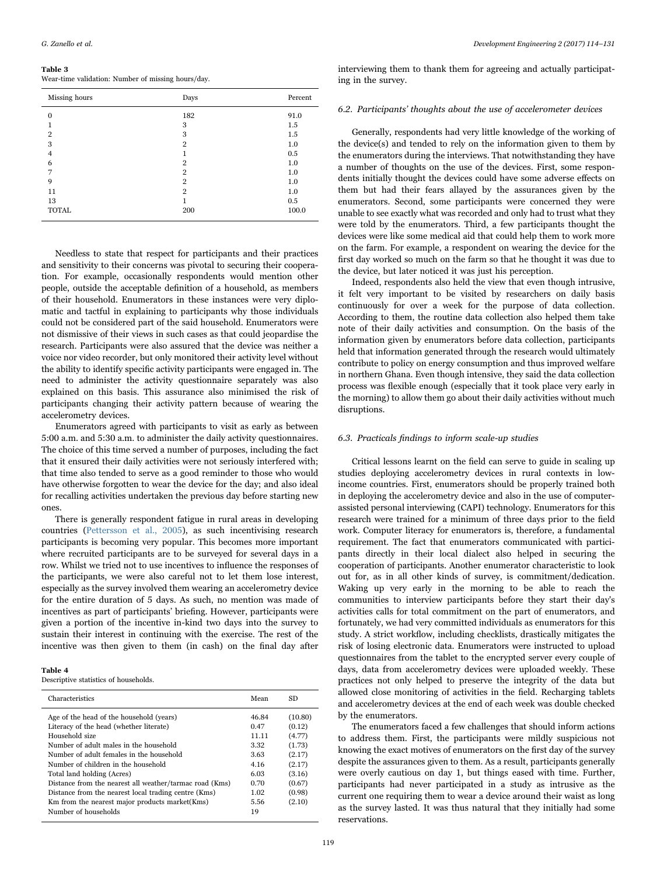<span id="page-5-0"></span>Wear-time validation: Number of missing hours/day.

| Missing hours  | Days           | Percent |
|----------------|----------------|---------|
| $\mathbf{0}$   | 182            | 91.0    |
| 1              | 3              | 1.5     |
| $\overline{2}$ | 3              | 1.5     |
| 3              | $\overline{2}$ | 1.0     |
| $\overline{4}$ | 1              | 0.5     |
| 6              | $\overline{2}$ | 1.0     |
| 7              | $\overline{2}$ | 1.0     |
| 9              | $\overline{2}$ | 1.0     |
| 11             | $\overline{2}$ | 1.0     |
| 13             | 1              | 0.5     |
| <b>TOTAL</b>   | 200            | 100.0   |

Needless to state that respect for participants and their practices and sensitivity to their concerns was pivotal to securing their cooperation. For example, occasionally respondents would mention other people, outside the acceptable definition of a household, as members of their household. Enumerators in these instances were very diplomatic and tactful in explaining to participants why those individuals could not be considered part of the said household. Enumerators were not dismissive of their views in such cases as that could jeopardise the research. Participants were also assured that the device was neither a voice nor video recorder, but only monitored their activity level without the ability to identify specific activity participants were engaged in. The need to administer the activity questionnaire separately was also explained on this basis. This assurance also minimised the risk of participants changing their activity pattern because of wearing the accelerometry devices.

Enumerators agreed with participants to visit as early as between 5:00 a.m. and 5:30 a.m. to administer the daily activity questionnaires. The choice of this time served a number of purposes, including the fact that it ensured their daily activities were not seriously interfered with; that time also tended to serve as a good reminder to those who would have otherwise forgotten to wear the device for the day; and also ideal for recalling activities undertaken the previous day before starting new ones.

There is generally respondent fatigue in rural areas in developing countries [\(Pettersson et al., 2005](#page-17-15)), as such incentivising research participants is becoming very popular. This becomes more important where recruited participants are to be surveyed for several days in a row. Whilst we tried not to use incentives to influence the responses of the participants, we were also careful not to let them lose interest, especially as the survey involved them wearing an accelerometry device for the entire duration of 5 days. As such, no mention was made of incentives as part of participants' briefing. However, participants were given a portion of the incentive in-kind two days into the survey to sustain their interest in continuing with the exercise. The rest of the incentive was then given to them (in cash) on the final day after

<span id="page-5-1"></span>

Descriptive statistics of households.

| Characteristics                                         | Mean  | SD.     |
|---------------------------------------------------------|-------|---------|
| Age of the head of the household (years)                | 46.84 | (10.80) |
| Literacy of the head (whether literate)                 | 0.47  | (0.12)  |
| Household size                                          | 11.11 | (4.77)  |
| Number of adult males in the household                  | 3.32  | (1.73)  |
| Number of adult females in the household                | 3.63  | (2.17)  |
| Number of children in the household                     | 4.16  | (2.17)  |
| Total land holding (Acres)                              | 6.03  | (3.16)  |
| Distance from the nearest all weather/tarmac road (Kms) | 0.70  | (0.67)  |
| Distance from the nearest local trading centre (Kms)    | 1.02  | (0.98)  |
| Km from the nearest major products market (Kms)         | 5.56  | (2.10)  |
| Number of households                                    | 19    |         |

interviewing them to thank them for agreeing and actually participating in the survey.

#### 6.2. Participants' thoughts about the use of accelerometer devices

Generally, respondents had very little knowledge of the working of the device(s) and tended to rely on the information given to them by the enumerators during the interviews. That notwithstanding they have a number of thoughts on the use of the devices. First, some respondents initially thought the devices could have some adverse effects on them but had their fears allayed by the assurances given by the enumerators. Second, some participants were concerned they were unable to see exactly what was recorded and only had to trust what they were told by the enumerators. Third, a few participants thought the devices were like some medical aid that could help them to work more on the farm. For example, a respondent on wearing the device for the first day worked so much on the farm so that he thought it was due to the device, but later noticed it was just his perception.

Indeed, respondents also held the view that even though intrusive, it felt very important to be visited by researchers on daily basis continuously for over a week for the purpose of data collection. According to them, the routine data collection also helped them take note of their daily activities and consumption. On the basis of the information given by enumerators before data collection, participants held that information generated through the research would ultimately contribute to policy on energy consumption and thus improved welfare in northern Ghana. Even though intensive, they said the data collection process was flexible enough (especially that it took place very early in the morning) to allow them go about their daily activities without much disruptions.

#### 6.3. Practicals findings to inform scale-up studies

Critical lessons learnt on the field can serve to guide in scaling up studies deploying accelerometry devices in rural contexts in lowincome countries. First, enumerators should be properly trained both in deploying the accelerometry device and also in the use of computerassisted personal interviewing (CAPI) technology. Enumerators for this research were trained for a minimum of three days prior to the field work. Computer literacy for enumerators is, therefore, a fundamental requirement. The fact that enumerators communicated with participants directly in their local dialect also helped in securing the cooperation of participants. Another enumerator characteristic to look out for, as in all other kinds of survey, is commitment/dedication. Waking up very early in the morning to be able to reach the communities to interview participants before they start their day's activities calls for total commitment on the part of enumerators, and fortunately, we had very committed individuals as enumerators for this study. A strict workflow, including checklists, drastically mitigates the risk of losing electronic data. Enumerators were instructed to upload questionnaires from the tablet to the encrypted server every couple of days, data from accelerometry devices were uploaded weekly. These practices not only helped to preserve the integrity of the data but allowed close monitoring of activities in the field. Recharging tablets and accelerometry devices at the end of each week was double checked by the enumerators.

The enumerators faced a few challenges that should inform actions to address them. First, the participants were mildly suspicious not knowing the exact motives of enumerators on the first day of the survey despite the assurances given to them. As a result, participants generally were overly cautious on day 1, but things eased with time. Further, participants had never participated in a study as intrusive as the current one requiring them to wear a device around their waist as long as the survey lasted. It was thus natural that they initially had some reservations.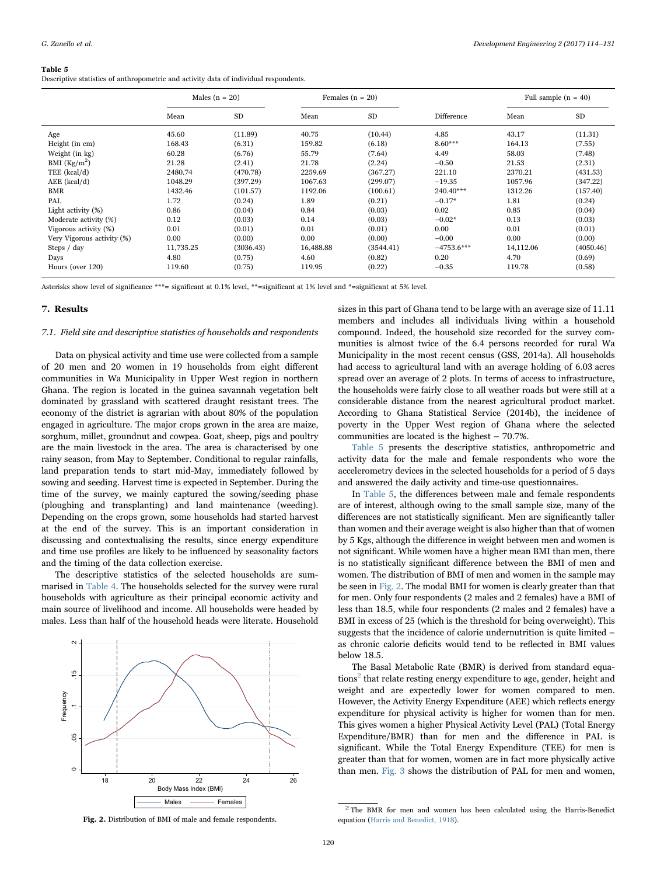<span id="page-6-0"></span>Descriptive statistics of anthropometric and activity data of individual respondents.

|                            | Males ( $n = 20$ ) |           | Females ( $n = 20$ ) |           |              | Full sample $(n = 40)$ |           |
|----------------------------|--------------------|-----------|----------------------|-----------|--------------|------------------------|-----------|
|                            | Mean               | <b>SD</b> | Mean                 | <b>SD</b> | Difference   | Mean                   | <b>SD</b> |
| Age                        | 45.60              | (11.89)   | 40.75                | (10.44)   | 4.85         | 43.17                  | (11.31)   |
| Height (in cm)             | 168.43             | (6.31)    | 159.82               | (6.18)    | $8.60***$    | 164.13                 | (7.55)    |
| Weight (in kg)             | 60.28              | (6.76)    | 55.79                | (7.64)    | 4.49         | 58.03                  | (7.48)    |
| BMI $(Kg/m2)$              | 21.28              | (2.41)    | 21.78                | (2.24)    | $-0.50$      | 21.53                  | (2.31)    |
| TEE (kcal/d)               | 2480.74            | (470.78)  | 2259.69              | (367.27)  | 221.10       | 2370.21                | (431.53)  |
| $AEE$ (kcal/d)             | 1048.29            | (397.29)  | 1067.63              | (299.07)  | $-19.35$     | 1057.96                | (347.22)  |
| <b>BMR</b>                 | 1432.46            | (101.57)  | 1192.06              | (100.61)  | 240.40***    | 1312.26                | (157.40)  |
| PAL                        | 1.72               | (0.24)    | 1.89                 | (0.21)    | $-0.17*$     | 1.81                   | (0.24)    |
| Light activity (%)         | 0.86               | (0.04)    | 0.84                 | (0.03)    | 0.02         | 0.85                   | (0.04)    |
| Moderate activity (%)      | 0.12               | (0.03)    | 0.14                 | (0.03)    | $-0.02*$     | 0.13                   | (0.03)    |
| Vigorous activity (%)      | 0.01               | (0.01)    | 0.01                 | (0.01)    | 0.00         | 0.01                   | (0.01)    |
| Very Vigorous activity (%) | 0.00               | (0.00)    | 0.00                 | (0.00)    | $-0.00$      | 0.00                   | (0.00)    |
| Steps / day                | 11,735.25          | (3036.43) | 16,488.88            | (3544.41) | $-4753.6***$ | 14,112.06              | (4050.46) |
| Days                       | 4.80               | (0.75)    | 4.60                 | (0.82)    | 0.20         | 4.70                   | (0.69)    |
| Hours (over 120)           | 119.60             | (0.75)    | 119.95               | (0.22)    | $-0.35$      | 119.78                 | (0.58)    |

Asterisks show level of significance \*\*\*= significant at 0.1% level, \*\*=significant at 1% level and \*=significant at 5% level.

#### 7. Results

#### 7.1. Field site and descriptive statistics of households and respondents

Data on physical activity and time use were collected from a sample of 20 men and 20 women in 19 households from eight different communities in Wa Municipality in Upper West region in northern Ghana. The region is located in the guinea savannah vegetation belt dominated by grassland with scattered draught resistant trees. The economy of the district is agrarian with about 80% of the population engaged in agriculture. The major crops grown in the area are maize, sorghum, millet, groundnut and cowpea. Goat, sheep, pigs and poultry are the main livestock in the area. The area is characterised by one rainy season, from May to September. Conditional to regular rainfalls, land preparation tends to start mid-May, immediately followed by sowing and seeding. Harvest time is expected in September. During the time of the survey, we mainly captured the sowing/seeding phase (ploughing and transplanting) and land maintenance (weeding). Depending on the crops grown, some households had started harvest at the end of the survey. This is an important consideration in discussing and contextualising the results, since energy expenditure and time use profiles are likely to be influenced by seasonality factors and the timing of the data collection exercise.

The descriptive statistics of the selected households are summarised in [Table 4](#page-5-1). The households selected for the survey were rural households with agriculture as their principal economic activity and main source of livelihood and income. All households were headed by males. Less than half of the household heads were literate. Household

<span id="page-6-1"></span>

sizes in this part of Ghana tend to be large with an average size of 11.11 members and includes all individuals living within a household compound. Indeed, the household size recorded for the survey communities is almost twice of the 6.4 persons recorded for rural Wa Municipality in the most recent census (GSS, 2014a). All households had access to agricultural land with an average holding of 6.03 acres spread over an average of 2 plots. In terms of access to infrastructure, the households were fairly close to all weather roads but were still at a considerable distance from the nearest agricultural product market. According to Ghana Statistical Service (2014b), the incidence of poverty in the Upper West region of Ghana where the selected communities are located is the highest – 70.7%.

[Table 5](#page-6-0) presents the descriptive statistics, anthropometric and activity data for the male and female respondents who wore the accelerometry devices in the selected households for a period of 5 days and answered the daily activity and time-use questionnaires.

In [Table 5](#page-6-0), the differences between male and female respondents are of interest, although owing to the small sample size, many of the differences are not statistically significant. Men are significantly taller than women and their average weight is also higher than that of women by 5 Kgs, although the difference in weight between men and women is not significant. While women have a higher mean BMI than men, there is no statistically significant difference between the BMI of men and women. The distribution of BMI of men and women in the sample may be seen in [Fig. 2.](#page-6-1) The modal BMI for women is clearly greater than that for men. Only four respondents (2 males and 2 females) have a BMI of less than 18.5, while four respondents (2 males and 2 females) have a BMI in excess of 25 (which is the threshold for being overweight). This suggests that the incidence of calorie undernutrition is quite limited – as chronic calorie deficits would tend to be reflected in BMI values below 18.5.

The Basal Metabolic Rate (BMR) is derived from standard equations<sup>2</sup> [that relate resting energy expenditure to age, gender, height and](#page-6-2) weight and are expectedly lower for women compared to men. However, the Activity Energy Expenditure (AEE) which reflects energy expenditure for physical activity is higher for women than for men. This gives women a higher Physical Activity Level (PAL) (Total Energy Expenditure/BMR) than for men and the difference in PAL is significant. While the Total Energy Expenditure (TEE) for men is greater than that for women, women are in fact more physically active than men. [Fig. 3](#page-7-0) shows the distribution of PAL for men and women,

<span id="page-6-2"></span><sup>2</sup> The BMR for men and women has been calculated using the Harris-Benedict equation ([Harris and Benedict, 1918\)](#page-16-39).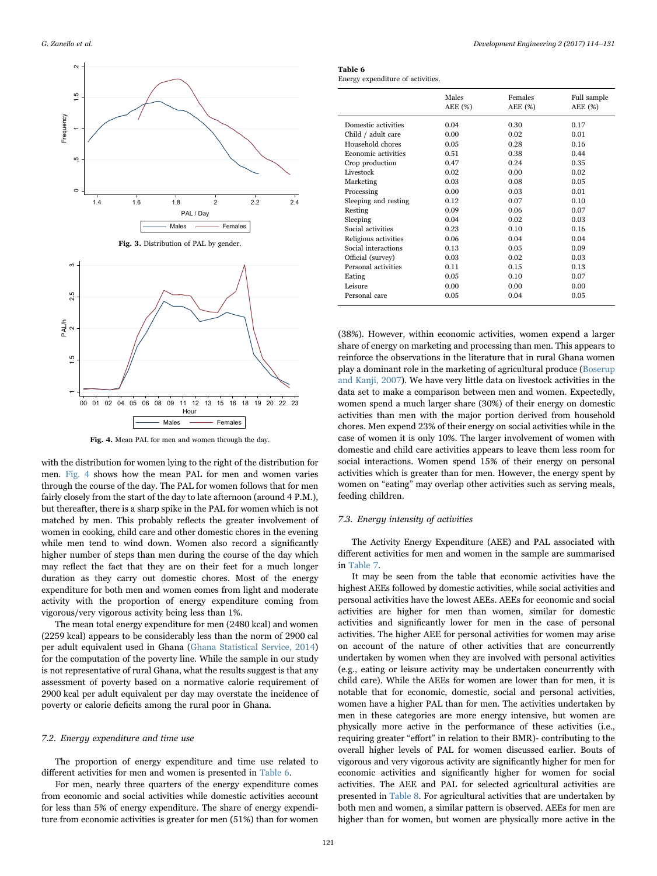<span id="page-7-0"></span>

<span id="page-7-1"></span>Fig. 4. Mean PAL for men and women through the day.

with the distribution for women lying to the right of the distribution for men. [Fig. 4](#page-7-1) shows how the mean PAL for men and women varies through the course of the day. The PAL for women follows that for men fairly closely from the start of the day to late afternoon (around 4 P.M.), but thereafter, there is a sharp spike in the PAL for women which is not matched by men. This probably reflects the greater involvement of women in cooking, child care and other domestic chores in the evening while men tend to wind down. Women also record a significantly higher number of steps than men during the course of the day which may reflect the fact that they are on their feet for a much longer duration as they carry out domestic chores. Most of the energy expenditure for both men and women comes from light and moderate activity with the proportion of energy expenditure coming from vigorous/very vigorous activity being less than 1%.

The mean total energy expenditure for men (2480 kcal) and women (2259 kcal) appears to be considerably less than the norm of 2900 cal per adult equivalent used in Ghana ([Ghana Statistical Service, 2014\)](#page-16-40) for the computation of the poverty line. While the sample in our study is not representative of rural Ghana, what the results suggest is that any assessment of poverty based on a normative calorie requirement of 2900 kcal per adult equivalent per day may overstate the incidence of poverty or calorie deficits among the rural poor in Ghana.

#### 7.2. Energy expenditure and time use

The proportion of energy expenditure and time use related to different activities for men and women is presented in [Table 6](#page-7-2).

For men, nearly three quarters of the energy expenditure comes from economic and social activities while domestic activities account for less than 5% of energy expenditure. The share of energy expenditure from economic activities is greater for men (51%) than for women

<span id="page-7-2"></span>

| Table 6                           |  |
|-----------------------------------|--|
| Energy expenditure of activities. |  |

|                            | Males<br>AEE (%) | Females<br>AEE (%) | Full sample<br>AEE (%) |
|----------------------------|------------------|--------------------|------------------------|
| Domestic activities        | 0.04             | 0.30               | 0.17                   |
| Child / adult care         | 0.00             | 0.02               | 0.01                   |
| Household chores           | 0.05             | 0.28               | 0.16                   |
| <b>Economic activities</b> | 0.51             | 0.38               | 0.44                   |
| Crop production            | 0.47             | 0.24               | 0.35                   |
| Livestock                  | 0.02             | 0.00               | 0.02                   |
| Marketing                  | 0.03             | 0.08               | 0.05                   |
| Processing                 | 0.00             | 0.03               | 0.01                   |
| Sleeping and resting       | 0.12             | 0.07               | 0.10                   |
| Resting                    | 0.09             | 0.06               | 0.07                   |
| Sleeping                   | 0.04             | 0.02               | 0.03                   |
| Social activities          | 0.23             | 0.10               | 0.16                   |
| Religious activities       | 0.06             | 0.04               | 0.04                   |
| Social interactions        | 0.13             | 0.05               | 0.09                   |
| Official (survey)          | 0.03             | 0.02               | 0.03                   |
| Personal activities        | 0.11             | 0.15               | 0.13                   |
| Eating                     | 0.05             | 0.10               | 0.07                   |
| Leisure                    | 0.00             | 0.00               | 0.00                   |
| Personal care              | 0.05             | 0.04               | 0.05                   |

(38%). However, within economic activities, women expend a larger share of energy on marketing and processing than men. This appears to reinforce the observations in the literature that in rural Ghana women play a dominant role in the marketing of agricultural produce [\(Boserup](#page-16-41) [and Kanji, 2007\)](#page-16-41). We have very little data on livestock activities in the data set to make a comparison between men and women. Expectedly, women spend a much larger share (30%) of their energy on domestic activities than men with the major portion derived from household chores. Men expend 23% of their energy on social activities while in the case of women it is only 10%. The larger involvement of women with domestic and child care activities appears to leave them less room for social interactions. Women spend 15% of their energy on personal activities which is greater than for men. However, the energy spent by women on "eating" may overlap other activities such as serving meals, feeding children.

#### 7.3. Energy intensity of activities

The Activity Energy Expenditure (AEE) and PAL associated with different activities for men and women in the sample are summarised in [Table 7.](#page-8-0)

It may be seen from the table that economic activities have the highest AEEs followed by domestic activities, while social activities and personal activities have the lowest AEEs. AEEs for economic and social activities are higher for men than women, similar for domestic activities and significantly lower for men in the case of personal activities. The higher AEE for personal activities for women may arise on account of the nature of other activities that are concurrently undertaken by women when they are involved with personal activities (e.g., eating or leisure activity may be undertaken concurrently with child care). While the AEEs for women are lower than for men, it is notable that for economic, domestic, social and personal activities, women have a higher PAL than for men. The activities undertaken by men in these categories are more energy intensive, but women are physically more active in the performance of these activities (i.e., requiring greater "effort" in relation to their BMR)- contributing to the overall higher levels of PAL for women discussed earlier. Bouts of vigorous and very vigorous activity are significantly higher for men for economic activities and significantly higher for women for social activities. The AEE and PAL for selected agricultural activities are presented in [Table 8.](#page-8-1) For agricultural activities that are undertaken by both men and women, a similar pattern is observed. AEEs for men are higher than for women, but women are physically more active in the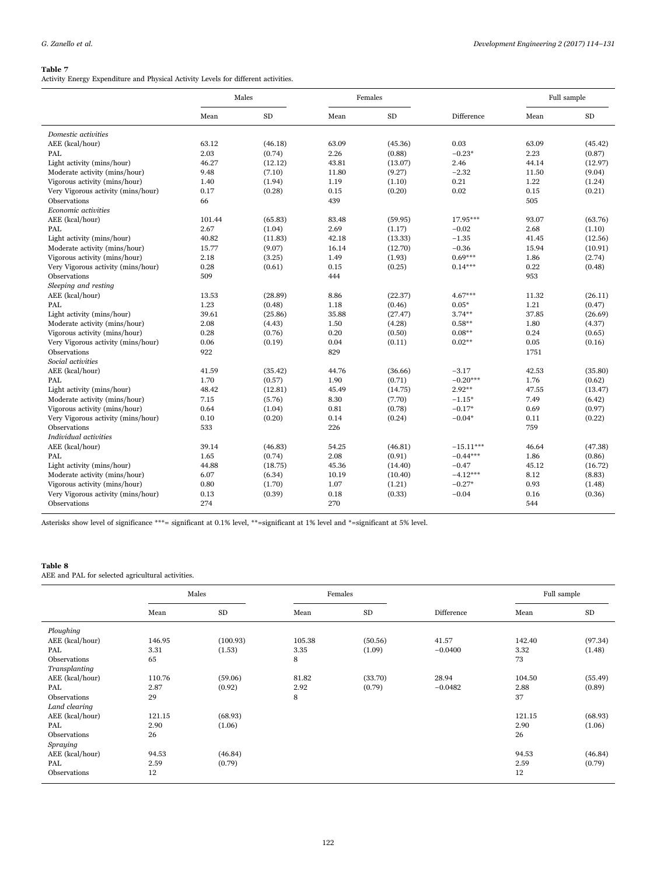<span id="page-8-0"></span>Activity Energy Expenditure and Physical Activity Levels for different activities.

|                                    |        | Males     |       | Females   |             |       | Full sample |  |
|------------------------------------|--------|-----------|-------|-----------|-------------|-------|-------------|--|
|                                    | Mean   | <b>SD</b> | Mean  | <b>SD</b> | Difference  | Mean  | <b>SD</b>   |  |
| Domestic activities                |        |           |       |           |             |       |             |  |
| AEE (kcal/hour)                    | 63.12  | (46.18)   | 63.09 | (45.36)   | 0.03        | 63.09 | (45.42)     |  |
| <b>PAL</b>                         | 2.03   | (0.74)    | 2.26  | (0.88)    | $-0.23*$    | 2.23  | (0.87)      |  |
| Light activity (mins/hour)         | 46.27  | (12.12)   | 43.81 | (13.07)   | 2.46        | 44.14 | (12.97)     |  |
| Moderate activity (mins/hour)      | 9.48   | (7.10)    | 11.80 | (9.27)    | $-2.32$     | 11.50 | (9.04)      |  |
| Vigorous activity (mins/hour)      | 1.40   | (1.94)    | 1.19  | (1.10)    | 0.21        | 1.22  | (1.24)      |  |
| Very Vigorous activity (mins/hour) | 0.17   | (0.28)    | 0.15  | (0.20)    | 0.02        | 0.15  | (0.21)      |  |
| Observations                       | 66     |           | 439   |           |             | 505   |             |  |
| Economic activities                |        |           |       |           |             |       |             |  |
| AEE (kcal/hour)                    | 101.44 | (65.83)   | 83.48 | (59.95)   | 17.95***    | 93.07 | (63.76)     |  |
| PAL                                | 2.67   | (1.04)    | 2.69  | (1.17)    | $-0.02$     | 2.68  | (1.10)      |  |
| Light activity (mins/hour)         | 40.82  | (11.83)   | 42.18 | (13.33)   | $-1.35$     | 41.45 | (12.56)     |  |
| Moderate activity (mins/hour)      | 15.77  | (9.07)    | 16.14 | (12.70)   | $-0.36$     | 15.94 | (10.91)     |  |
| Vigorous activity (mins/hour)      | 2.18   | (3.25)    | 1.49  | (1.93)    | $0.69***$   | 1.86  | (2.74)      |  |
| Very Vigorous activity (mins/hour) | 0.28   | (0.61)    | 0.15  | (0.25)    | $0.14***$   | 0.22  | (0.48)      |  |
| Observations                       | 509    |           | 444   |           |             | 953   |             |  |
| Sleeping and resting               |        |           |       |           |             |       |             |  |
| AEE (kcal/hour)                    | 13.53  | (28.89)   | 8.86  | (22.37)   | $4.67***$   | 11.32 | (26.11)     |  |
| PAL                                | 1.23   | (0.48)    | 1.18  | (0.46)    | $0.05*$     | 1.21  | (0.47)      |  |
| Light activity (mins/hour)         | 39.61  | (25.86)   | 35.88 | (27.47)   | $3.74**$    | 37.85 | (26.69)     |  |
| Moderate activity (mins/hour)      | 2.08   | (4.43)    | 1.50  | (4.28)    | $0.58**$    | 1.80  | (4.37)      |  |
| Vigorous activity (mins/hour)      | 0.28   | (0.76)    | 0.20  | (0.50)    | $0.08**$    | 0.24  | (0.65)      |  |
| Very Vigorous activity (mins/hour) | 0.06   | (0.19)    | 0.04  | (0.11)    | $0.02**$    | 0.05  | (0.16)      |  |
| Observations                       | 922    |           | 829   |           |             | 1751  |             |  |
| Social activities                  |        |           |       |           |             |       |             |  |
| AEE (kcal/hour)                    | 41.59  | (35.42)   | 44.76 | (36.66)   | $-3.17$     | 42.53 | (35.80)     |  |
| PAL                                | 1.70   | (0.57)    | 1.90  | (0.71)    | $-0.20***$  | 1.76  | (0.62)      |  |
| Light activity (mins/hour)         | 48.42  | (12.81)   | 45.49 | (14.75)   | $2.92**$    | 47.55 | (13.47)     |  |
| Moderate activity (mins/hour)      | 7.15   | (5.76)    | 8.30  | (7.70)    | $-1.15*$    | 7.49  | (6.42)      |  |
| Vigorous activity (mins/hour)      | 0.64   | (1.04)    | 0.81  | (0.78)    | $-0.17*$    | 0.69  | (0.97)      |  |
| Very Vigorous activity (mins/hour) | 0.10   | (0.20)    | 0.14  | (0.24)    | $-0.04*$    | 0.11  | (0.22)      |  |
| Observations                       | 533    |           | 226   |           |             | 759   |             |  |
| Individual activities              |        |           |       |           |             |       |             |  |
| AEE (kcal/hour)                    | 39.14  | (46.83)   | 54.25 | (46.81)   | $-15.11***$ | 46.64 | (47.38)     |  |
| <b>PAL</b>                         | 1.65   | (0.74)    | 2.08  | (0.91)    | $-0.44***$  | 1.86  | (0.86)      |  |
| Light activity (mins/hour)         | 44.88  | (18.75)   | 45.36 | (14.40)   | $-0.47$     | 45.12 | (16.72)     |  |
| Moderate activity (mins/hour)      | 6.07   | (6.34)    | 10.19 | (10.40)   | $-4.12***$  | 8.12  | (8.83)      |  |
| Vigorous activity (mins/hour)      | 0.80   | (1.70)    | 1.07  | (1.21)    | $-0.27*$    | 0.93  | (1.48)      |  |
| Very Vigorous activity (mins/hour) | 0.13   | (0.39)    | 0.18  | (0.33)    | $-0.04$     | 0.16  | (0.36)      |  |
| Observations                       | 274    |           | 270   |           |             | 544   |             |  |

Asterisks show level of significance \*\*\*= significant at 0.1% level, \*\*=significant at 1% level and \*=significant at 5% level.

### <span id="page-8-1"></span>Table 8

AEE and PAL for selected agricultural activities.

|                 | Males  |            |        | Females   |            | Full sample |         |
|-----------------|--------|------------|--------|-----------|------------|-------------|---------|
|                 | Mean   | ${\rm SD}$ | Mean   | <b>SD</b> | Difference | Mean        | SD      |
| Ploughing       |        |            |        |           |            |             |         |
| AEE (kcal/hour) | 146.95 | (100.93)   | 105.38 | (50.56)   | 41.57      | 142.40      | (97.34) |
| PAL             | 3.31   | (1.53)     | 3.35   | (1.09)    | $-0.0400$  | 3.32        | (1.48)  |
| Observations    | 65     |            | 8      |           |            | 73          |         |
| Transplanting   |        |            |        |           |            |             |         |
| AEE (kcal/hour) | 110.76 | (59.06)    | 81.82  | (33.70)   | 28.94      | 104.50      | (55.49) |
| PAL             | 2.87   | (0.92)     | 2.92   | (0.79)    | $-0.0482$  | 2.88        | (0.89)  |
| Observations    | 29     |            | 8      |           |            | 37          |         |
| Land clearing   |        |            |        |           |            |             |         |
| AEE (kcal/hour) | 121.15 | (68.93)    |        |           |            | 121.15      | (68.93) |
| PAL             | 2.90   | (1.06)     |        |           |            | 2.90        | (1.06)  |
| Observations    | 26     |            |        |           |            | 26          |         |
| Spraying        |        |            |        |           |            |             |         |
| AEE (kcal/hour) | 94.53  | (46.84)    |        |           |            | 94.53       | (46.84) |
| PAL             | 2.59   | (0.79)     |        |           |            | 2.59        | (0.79)  |
| Observations    | 12     |            |        |           |            | 12          |         |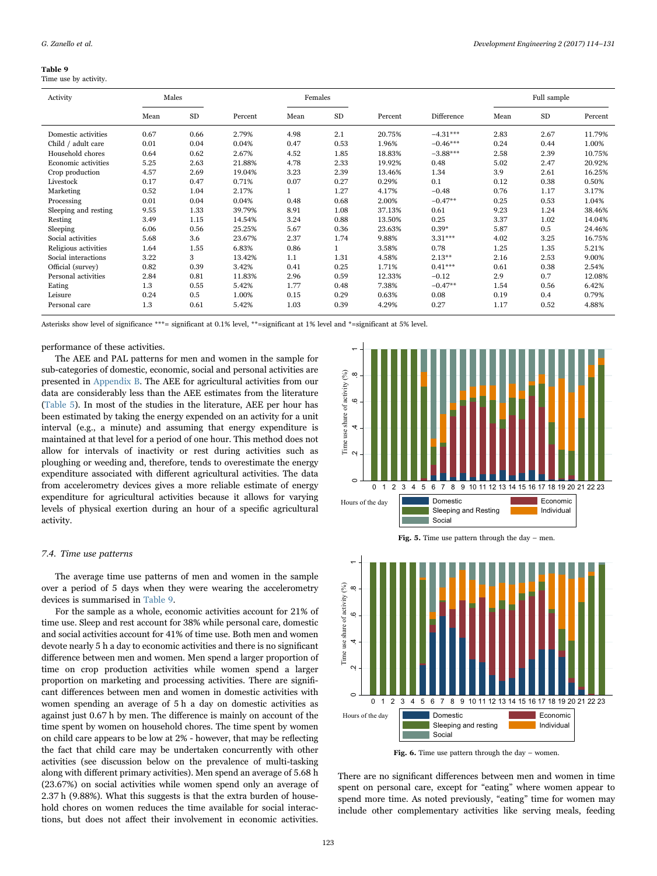<span id="page-9-0"></span>

Time use by activity.

| Activity             | Males |      |         | Females |      |         |            | Full sample |           |         |
|----------------------|-------|------|---------|---------|------|---------|------------|-------------|-----------|---------|
|                      | Mean  | SD   | Percent | Mean    | SD   | Percent | Difference | Mean        | <b>SD</b> | Percent |
| Domestic activities  | 0.67  | 0.66 | 2.79%   | 4.98    | 2.1  | 20.75%  | $-4.31***$ | 2.83        | 2.67      | 11.79%  |
| Child / adult care   | 0.01  | 0.04 | 0.04%   | 0.47    | 0.53 | 1.96%   | $-0.46***$ | 0.24        | 0.44      | 1.00%   |
| Household chores     | 0.64  | 0.62 | 2.67%   | 4.52    | 1.85 | 18.83%  | $-3.88***$ | 2.58        | 2.39      | 10.75%  |
| Economic activities  | 5.25  | 2.63 | 21.88%  | 4.78    | 2.33 | 19.92%  | 0.48       | 5.02        | 2.47      | 20.92%  |
| Crop production      | 4.57  | 2.69 | 19.04%  | 3.23    | 2.39 | 13.46%  | 1.34       | 3.9         | 2.61      | 16.25%  |
| Livestock            | 0.17  | 0.47 | 0.71%   | 0.07    | 0.27 | 0.29%   | 0.1        | 0.12        | 0.38      | 0.50%   |
| Marketing            | 0.52  | 1.04 | 2.17%   |         | 1.27 | 4.17%   | $-0.48$    | 0.76        | 1.17      | 3.17%   |
| Processing           | 0.01  | 0.04 | 0.04%   | 0.48    | 0.68 | 2.00%   | $-0.47**$  | 0.25        | 0.53      | 1.04%   |
| Sleeping and resting | 9.55  | 1.33 | 39.79%  | 8.91    | 1.08 | 37.13%  | 0.61       | 9.23        | 1.24      | 38.46%  |
| Resting              | 3.49  | 1.15 | 14.54%  | 3.24    | 0.88 | 13.50%  | 0.25       | 3.37        | 1.02      | 14.04%  |
| Sleeping             | 6.06  | 0.56 | 25.25%  | 5.67    | 0.36 | 23.63%  | $0.39*$    | 5.87        | 0.5       | 24.46%  |
| Social activities    | 5.68  | 3.6  | 23.67%  | 2.37    | 1.74 | 9.88%   | $3.31***$  | 4.02        | 3.25      | 16.75%  |
| Religious activities | 1.64  | 1.55 | 6.83%   | 0.86    | 1    | 3.58%   | 0.78       | 1.25        | 1.35      | 5.21%   |
| Social interactions  | 3.22  | 3    | 13.42%  | 1.1     | 1.31 | 4.58%   | $2.13**$   | 2.16        | 2.53      | 9.00%   |
| Official (survey)    | 0.82  | 0.39 | 3.42%   | 0.41    | 0.25 | 1.71%   | $0.41***$  | 0.61        | 0.38      | 2.54%   |
| Personal activities  | 2.84  | 0.81 | 11.83%  | 2.96    | 0.59 | 12.33%  | $-0.12$    | 2.9         | 0.7       | 12.08%  |
| Eating               | 1.3   | 0.55 | 5.42%   | 1.77    | 0.48 | 7.38%   | $-0.47**$  | 1.54        | 0.56      | 6.42%   |
| Leisure              | 0.24  | 0.5  | 1.00%   | 0.15    | 0.29 | 0.63%   | 0.08       | 0.19        | 0.4       | 0.79%   |
| Personal care        | 1.3   | 0.61 | 5.42%   | 1.03    | 0.39 | 4.29%   | 0.27       | 1.17        | 0.52      | 4.88%   |

Asterisks show level of significance \*\*\*= significant at 0.1% level, \*\*=significant at 1% level and \*=significant at 5% level.

#### performance of these activities.

The AEE and PAL patterns for men and women in the sample for sub-categories of domestic, economic, social and personal activities are presented in [Appendix B.](#page-13-1) The AEE for agricultural activities from our data are considerably less than the AEE estimates from the literature ([Table 5\)](#page-6-0). In most of the studies in the literature, AEE per hour has been estimated by taking the energy expended on an activity for a unit interval (e.g., a minute) and assuming that energy expenditure is maintained at that level for a period of one hour. This method does not allow for intervals of inactivity or rest during activities such as ploughing or weeding and, therefore, tends to overestimate the energy expenditure associated with different agricultural activities. The data from accelerometry devices gives a more reliable estimate of energy expenditure for agricultural activities because it allows for varying levels of physical exertion during an hour of a specific agricultural activity.

#### 7.4. Time use patterns

The average time use patterns of men and women in the sample over a period of 5 days when they were wearing the accelerometry devices is summarised in [Table 9.](#page-9-0)

For the sample as a whole, economic activities account for 21% of time use. Sleep and rest account for 38% while personal care, domestic and social activities account for 41% of time use. Both men and women devote nearly 5 h a day to economic activities and there is no significant difference between men and women. Men spend a larger proportion of time on crop production activities while women spend a larger proportion on marketing and processing activities. There are significant differences between men and women in domestic activities with women spending an average of 5 h a day on domestic activities as against just 0.67 h by men. The difference is mainly on account of the time spent by women on household chores. The time spent by women on child care appears to be low at 2% - however, that may be reflecting the fact that child care may be undertaken concurrently with other activities (see discussion below on the prevalence of multi-tasking along with different primary activities). Men spend an average of 5.68 h (23.67%) on social activities while women spend only an average of 2.37 h (9.88%). What this suggests is that the extra burden of household chores on women reduces the time available for social interactions, but does not affect their involvement in economic activities.

<span id="page-9-1"></span>



<span id="page-9-2"></span>

Fig. 6. Time use pattern through the day – women.

There are no significant differences between men and women in time spent on personal care, except for "eating" where women appear to spend more time. As noted previously, "eating" time for women may include other complementary activities like serving meals, feeding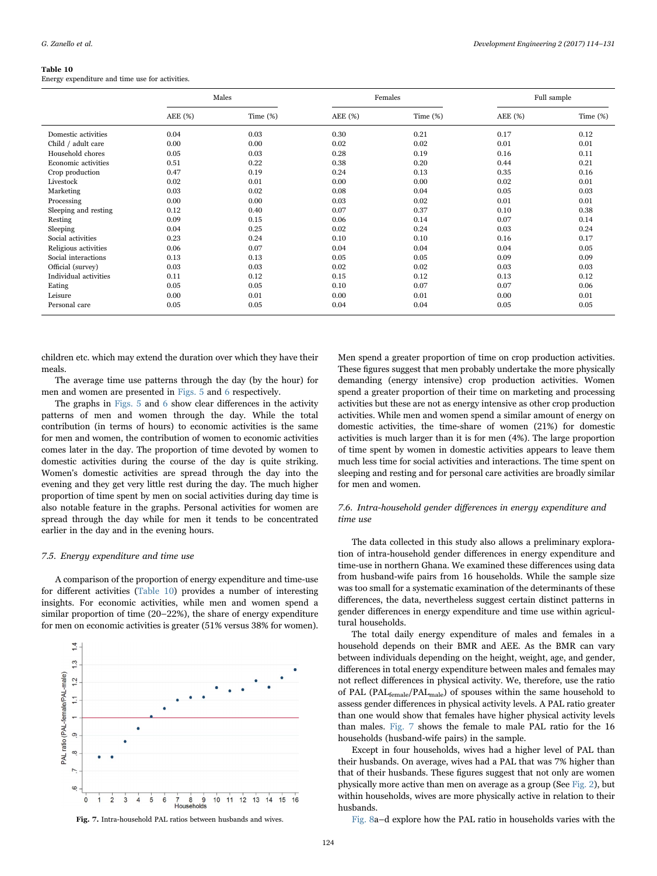<span id="page-10-0"></span>Energy expenditure and time use for activities.

|                       | Males   |             |         | Females     | Full sample |             |  |
|-----------------------|---------|-------------|---------|-------------|-------------|-------------|--|
|                       | AEE (%) | Time $(\%)$ | AEE (%) | Time $(\%)$ | AEE (%)     | Time $(\%)$ |  |
| Domestic activities   | 0.04    | 0.03        | 0.30    | 0.21        | 0.17        | 0.12        |  |
| Child / adult care    | 0.00    | 0.00        | 0.02    | 0.02        | 0.01        | 0.01        |  |
| Household chores      | 0.05    | 0.03        | 0.28    | 0.19        | 0.16        | 0.11        |  |
| Economic activities   | 0.51    | 0.22        | 0.38    | 0.20        | 0.44        | 0.21        |  |
| Crop production       | 0.47    | 0.19        | 0.24    | 0.13        | 0.35        | 0.16        |  |
| Livestock             | 0.02    | 0.01        | 0.00    | 0.00        | 0.02        | 0.01        |  |
| Marketing             | 0.03    | 0.02        | 0.08    | 0.04        | 0.05        | 0.03        |  |
| Processing            | 0.00    | 0.00        | 0.03    | 0.02        | 0.01        | 0.01        |  |
| Sleeping and resting  | 0.12    | 0.40        | 0.07    | 0.37        | 0.10        | 0.38        |  |
| Resting               | 0.09    | 0.15        | 0.06    | 0.14        | 0.07        | 0.14        |  |
| Sleeping              | 0.04    | 0.25        | 0.02    | 0.24        | 0.03        | 0.24        |  |
| Social activities     | 0.23    | 0.24        | 0.10    | 0.10        | 0.16        | 0.17        |  |
| Religious activities  | 0.06    | 0.07        | 0.04    | 0.04        | 0.04        | 0.05        |  |
| Social interactions   | 0.13    | 0.13        | 0.05    | 0.05        | 0.09        | 0.09        |  |
| Official (survey)     | 0.03    | 0.03        | 0.02    | 0.02        | 0.03        | 0.03        |  |
| Individual activities | 0.11    | 0.12        | 0.15    | 0.12        | 0.13        | 0.12        |  |
| Eating                | 0.05    | 0.05        | 0.10    | 0.07        | 0.07        | 0.06        |  |
| Leisure               | 0.00    | 0.01        | 0.00    | 0.01        | 0.00        | 0.01        |  |
| Personal care         | 0.05    | 0.05        | 0.04    | 0.04        | 0.05        | 0.05        |  |

children etc. which may extend the duration over which they have their meals.

The average time use patterns through the day (by the hour) for men and women are presented in [Figs. 5](#page-9-1) and [6](#page-9-2) respectively.

The graphs in [Figs. 5](#page-9-1) and [6](#page-9-2) show clear differences in the activity patterns of men and women through the day. While the total contribution (in terms of hours) to economic activities is the same for men and women, the contribution of women to economic activities comes later in the day. The proportion of time devoted by women to domestic activities during the course of the day is quite striking. Women's domestic activities are spread through the day into the evening and they get very little rest during the day. The much higher proportion of time spent by men on social activities during day time is also notable feature in the graphs. Personal activities for women are spread through the day while for men it tends to be concentrated earlier in the day and in the evening hours.

#### 7.5. Energy expenditure and time use

A comparison of the proportion of energy expenditure and time-use for different activities ([Table 10\)](#page-10-0) provides a number of interesting insights. For economic activities, while men and women spend a similar proportion of time (20–22%), the share of energy expenditure for men on economic activities is greater (51% versus 38% for women).

<span id="page-10-1"></span>

Fig. 7. Intra-household PAL ratios between husbands and wives.

Men spend a greater proportion of time on crop production activities. These figures suggest that men probably undertake the more physically demanding (energy intensive) crop production activities. Women spend a greater proportion of their time on marketing and processing activities but these are not as energy intensive as other crop production activities. While men and women spend a similar amount of energy on domestic activities, the time-share of women (21%) for domestic activities is much larger than it is for men (4%). The large proportion of time spent by women in domestic activities appears to leave them much less time for social activities and interactions. The time spent on sleeping and resting and for personal care activities are broadly similar for men and women.

## 7.6. Intra-household gender differences in energy expenditure and time use

The data collected in this study also allows a preliminary exploration of intra-household gender differences in energy expenditure and time-use in northern Ghana. We examined these differences using data from husband-wife pairs from 16 households. While the sample size was too small for a systematic examination of the determinants of these differences, the data, nevertheless suggest certain distinct patterns in gender differences in energy expenditure and time use within agricultural households.

The total daily energy expenditure of males and females in a household depends on their BMR and AEE. As the BMR can vary between individuals depending on the height, weight, age, and gender, differences in total energy expenditure between males and females may not reflect differences in physical activity. We, therefore, use the ratio of PAL (PAL $_{\text{female}}$ /PAL $_{\text{male}}$ ) of spouses within the same household to assess gender differences in physical activity levels. A PAL ratio greater than one would show that females have higher physical activity levels than males. [Fig. 7](#page-10-1) shows the female to male PAL ratio for the 16 households (husband-wife pairs) in the sample.

Except in four households, wives had a higher level of PAL than their husbands. On average, wives had a PAL that was 7% higher than that of their husbands. These figures suggest that not only are women physically more active than men on average as a group (See [Fig. 2\)](#page-6-1), but within households, wives are more physically active in relation to their husbands.

[Fig. 8](#page-11-0)a–d explore how the PAL ratio in households varies with the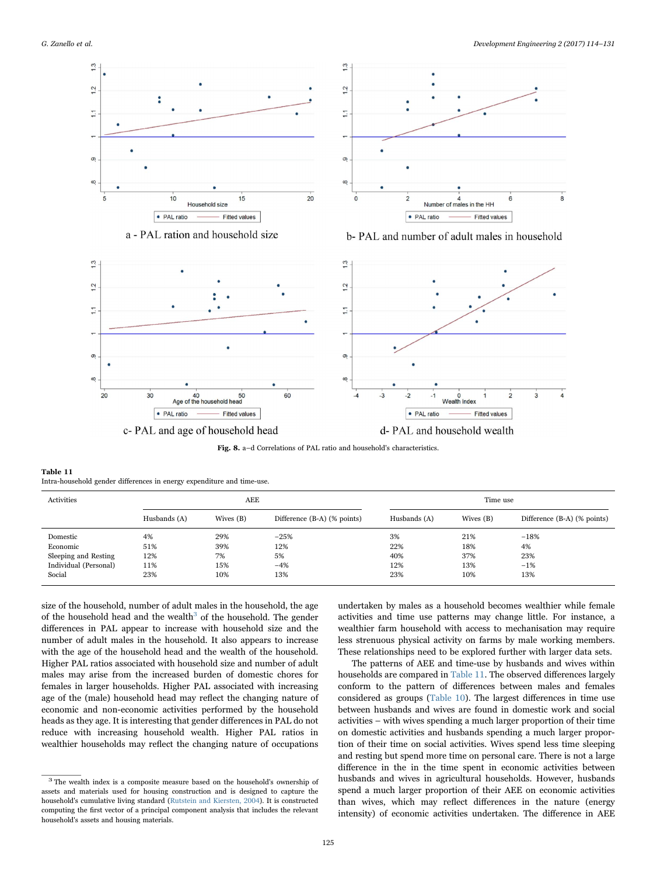<span id="page-11-0"></span>

Fig. 8. a–d Correlations of PAL ratio and household's characteristics.

<span id="page-11-2"></span>

| Table 11                                                               |  |  |  |
|------------------------------------------------------------------------|--|--|--|
| Intra-household gender differences in energy expenditure and time-use. |  |  |  |

| <b>Activities</b>     | AEE          |             |                             | Time use     |             |                             |  |
|-----------------------|--------------|-------------|-----------------------------|--------------|-------------|-----------------------------|--|
|                       | Husbands (A) | Wives $(B)$ | Difference (B-A) (% points) | Husbands (A) | Wives $(B)$ | Difference (B-A) (% points) |  |
| Domestic              | 4%           | 29%         | $-25%$                      | 3%           | 21%         | $-18%$                      |  |
| Economic              | 51%          | 39%         | 12%                         | 22%          | 18%         | 4%                          |  |
| Sleeping and Resting  | 12%          | 7%          | 5%                          | 40%          | 37%         | 23%                         |  |
| Individual (Personal) | 11%          | 15%         | $-4%$                       | 12%          | 13%         | $-1%$                       |  |
| Social                | 23%          | 10%         | 13%                         | 23%          | 10%         | 13%                         |  |

size of the household, number of adult males in the household, the age of the household head and the wealth<sup>3</sup> [of the household. The gender](#page-11-1) differences in PAL appear to increase with household size and the number of adult males in the household. It also appears to increase with the age of the household head and the wealth of the household. Higher PAL ratios associated with household size and number of adult males may arise from the increased burden of domestic chores for females in larger households. Higher PAL associated with increasing age of the (male) household head may reflect the changing nature of economic and non-economic activities performed by the household heads as they age. It is interesting that gender differences in PAL do not reduce with increasing household wealth. Higher PAL ratios in wealthier households may reflect the changing nature of occupations

undertaken by males as a household becomes wealthier while female activities and time use patterns may change little. For instance, a wealthier farm household with access to mechanisation may require less strenuous physical activity on farms by male working members. These relationships need to be explored further with larger data sets.

The patterns of AEE and time-use by husbands and wives within households are compared in [Table 11](#page-11-2). The observed differences largely conform to the pattern of differences between males and females considered as groups ([Table 10\)](#page-10-0). The largest differences in time use between husbands and wives are found in domestic work and social activities – with wives spending a much larger proportion of their time on domestic activities and husbands spending a much larger proportion of their time on social activities. Wives spend less time sleeping and resting but spend more time on personal care. There is not a large difference in the in the time spent in economic activities between husbands and wives in agricultural households. However, husbands spend a much larger proportion of their AEE on economic activities than wives, which may reflect differences in the nature (energy intensity) of economic activities undertaken. The difference in AEE

<span id="page-11-1"></span><sup>&</sup>lt;sup>3</sup>The wealth index is a composite measure based on the household's ownership of assets and materials used for housing construction and is designed to capture the household's cumulative living standard [\(Rutstein and Kiersten, 2004](#page-17-16)). It is constructed computing the first vector of a principal component analysis that includes the relevant household's assets and housing materials.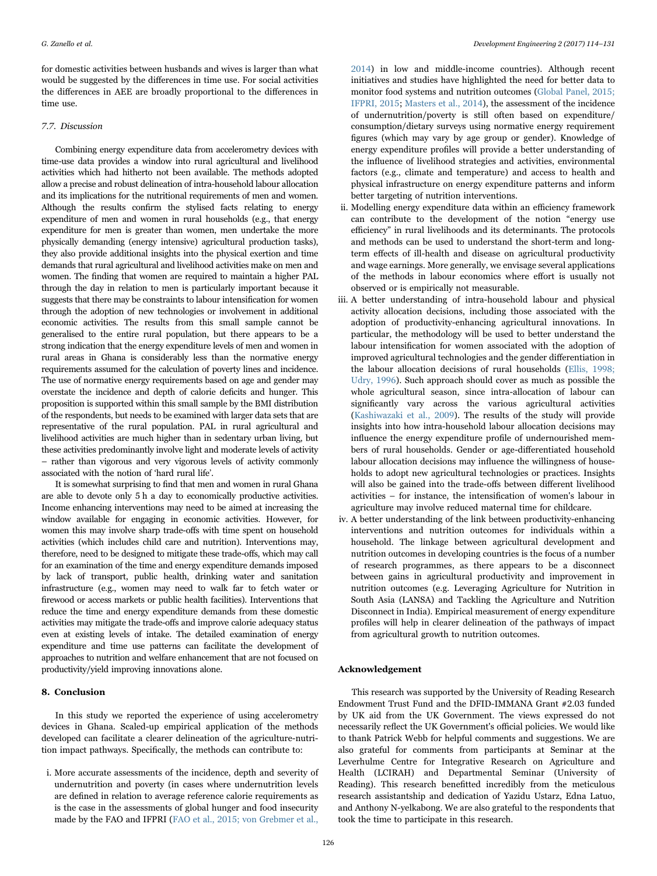for domestic activities between husbands and wives is larger than what would be suggested by the differences in time use. For social activities the differences in AEE are broadly proportional to the differences in time use.

#### 7.7. Discussion

Combining energy expenditure data from accelerometry devices with time-use data provides a window into rural agricultural and livelihood activities which had hitherto not been available. The methods adopted allow a precise and robust delineation of intra-household labour allocation and its implications for the nutritional requirements of men and women. Although the results confirm the stylised facts relating to energy expenditure of men and women in rural households (e.g., that energy expenditure for men is greater than women, men undertake the more physically demanding (energy intensive) agricultural production tasks), they also provide additional insights into the physical exertion and time demands that rural agricultural and livelihood activities make on men and women. The finding that women are required to maintain a higher PAL through the day in relation to men is particularly important because it suggests that there may be constraints to labour intensification for women through the adoption of new technologies or involvement in additional economic activities. The results from this small sample cannot be generalised to the entire rural population, but there appears to be a strong indication that the energy expenditure levels of men and women in rural areas in Ghana is considerably less than the normative energy requirements assumed for the calculation of poverty lines and incidence. The use of normative energy requirements based on age and gender may overstate the incidence and depth of calorie deficits and hunger. This proposition is supported within this small sample by the BMI distribution of the respondents, but needs to be examined with larger data sets that are representative of the rural population. PAL in rural agricultural and livelihood activities are much higher than in sedentary urban living, but these activities predominantly involve light and moderate levels of activity – rather than vigorous and very vigorous levels of activity commonly associated with the notion of 'hard rural life'.

It is somewhat surprising to find that men and women in rural Ghana are able to devote only 5 h a day to economically productive activities. Income enhancing interventions may need to be aimed at increasing the window available for engaging in economic activities. However, for women this may involve sharp trade-offs with time spent on household activities (which includes child care and nutrition). Interventions may, therefore, need to be designed to mitigate these trade-offs, which may call for an examination of the time and energy expenditure demands imposed by lack of transport, public health, drinking water and sanitation infrastructure (e.g., women may need to walk far to fetch water or firewood or access markets or public health facilities). Interventions that reduce the time and energy expenditure demands from these domestic activities may mitigate the trade-offs and improve calorie adequacy status even at existing levels of intake. The detailed examination of energy expenditure and time use patterns can facilitate the development of approaches to nutrition and welfare enhancement that are not focused on productivity/yield improving innovations alone.

#### 8. Conclusion

In this study we reported the experience of using accelerometry devices in Ghana. Scaled-up empirical application of the methods developed can facilitate a clearer delineation of the agriculture-nutrition impact pathways. Specifically, the methods can contribute to:

i. More accurate assessments of the incidence, depth and severity of undernutrition and poverty (in cases where undernutrition levels are defined in relation to average reference calorie requirements as is the case in the assessments of global hunger and food insecurity made by the FAO and IFPRI ([FAO et al., 2015; von Grebmer et al.,](#page-16-42)

[2014](#page-16-42)) in low and middle-income countries). Although recent initiatives and studies have highlighted the need for better data to monitor food systems and nutrition outcomes (Global [Panel, 2015;](#page-16-43) [IFPRI, 2015](#page-16-43); [Masters et al., 2014\)](#page-16-44), the assessment of the incidence of undernutrition/poverty is still often based on expenditure/ consumption/dietary surveys using normative energy requirement figures (which may vary by age group or gender). Knowledge of energy expenditure profiles will provide a better understanding of the influence of livelihood strategies and activities, environmental factors (e.g., climate and temperature) and access to health and physical infrastructure on energy expenditure patterns and inform better targeting of nutrition interventions.

- ii. Modelling energy expenditure data within an efficiency framework can contribute to the development of the notion "energy use efficiency" in rural livelihoods and its determinants. The protocols and methods can be used to understand the short-term and longterm effects of ill-health and disease on agricultural productivity and wage earnings. More generally, we envisage several applications of the methods in labour economics where effort is usually not observed or is empirically not measurable.
- iii. A better understanding of intra-household labour and physical activity allocation decisions, including those associated with the adoption of productivity-enhancing agricultural innovations. In particular, the methodology will be used to better understand the labour intensification for women associated with the adoption of improved agricultural technologies and the gender differentiation in the labour allocation decisions of rural households [\(Ellis, 1998;](#page-16-45) [Udry, 1996](#page-16-45)). Such approach should cover as much as possible the whole agricultural season, since intra-allocation of labour can significantly vary across the various agricultural activities [\(Kashiwazaki et al., 2009\)](#page-16-25). The results of the study will provide insights into how intra-household labour allocation decisions may influence the energy expenditure profile of undernourished members of rural households. Gender or age-differentiated household labour allocation decisions may influence the willingness of households to adopt new agricultural technologies or practices. Insights will also be gained into the trade-offs between different livelihood activities – for instance, the intensification of women's labour in agriculture may involve reduced maternal time for childcare.
- iv. A better understanding of the link between productivity-enhancing interventions and nutrition outcomes for individuals within a household. The linkage between agricultural development and nutrition outcomes in developing countries is the focus of a number of research programmes, as there appears to be a disconnect between gains in agricultural productivity and improvement in nutrition outcomes (e.g. Leveraging Agriculture for Nutrition in South Asia (LANSA) and Tackling the Agriculture and Nutrition Disconnect in India). Empirical measurement of energy expenditure profiles will help in clearer delineation of the pathways of impact from agricultural growth to nutrition outcomes.

#### Acknowledgement

This research was supported by the University of Reading Research Endowment Trust Fund and the DFID-IMMANA Grant #2.03 funded by UK aid from the UK Government. The views expressed do not necessarily reflect the UK Government's official policies. We would like to thank Patrick Webb for helpful comments and suggestions. We are also grateful for comments from participants at Seminar at the Leverhulme Centre for Integrative Research on Agriculture and Health (LCIRAH) and Departmental Seminar (University of Reading). This research benefitted incredibly from the meticulous research assistantship and dedication of Yazidu Ustarz, Edna Latuo, and Anthony N-yelkabong. We are also grateful to the respondents that took the time to participate in this research.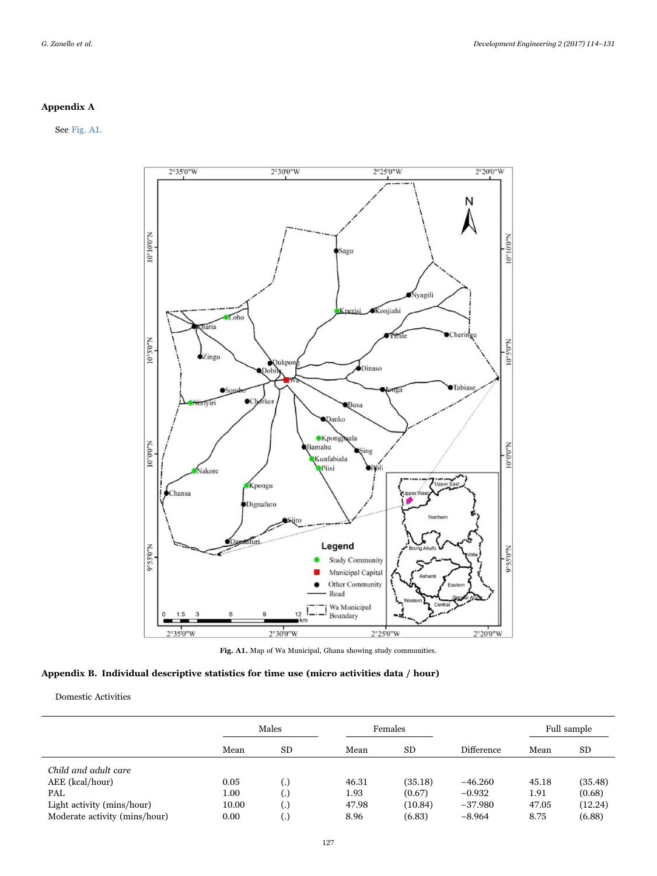# <span id="page-13-0"></span>Appendix A

# <span id="page-13-2"></span>See [Fig. A1.](#page-13-2)



Fig. A1. Map of Wa Municipal, Ghana showing study communities.

# <span id="page-13-1"></span>Appendix B. Individual descriptive statistics for time use (micro activities data / hour)

# Domestic Activities

|                               | Males |                   |       | Females |            | Full sample |         |
|-------------------------------|-------|-------------------|-------|---------|------------|-------------|---------|
|                               | Mean  | <b>SD</b>         | Mean  | SD.     | Difference | Mean        | SD      |
| Child and adult care          |       |                   |       |         |            |             |         |
| AEE (kcal/hour)               | 0.05  | $\left( .\right)$ | 46.31 | (35.18) | $-46.260$  | 45.18       | (35.48) |
| PAL                           | 1.00  | $\left( .\right)$ | 1.93  | (0.67)  | $-0.932$   | 1.91        | (0.68)  |
| Light activity (mins/hour)    | 10.00 | $\left( .\right)$ | 47.98 | (10.84) | $-37.980$  | 47.05       | (12.24) |
| Moderate activity (mins/hour) | 0.00  | $\left( .\right)$ | 8.96  | (6.83)  | $-8.964$   | 8.75        | (6.88)  |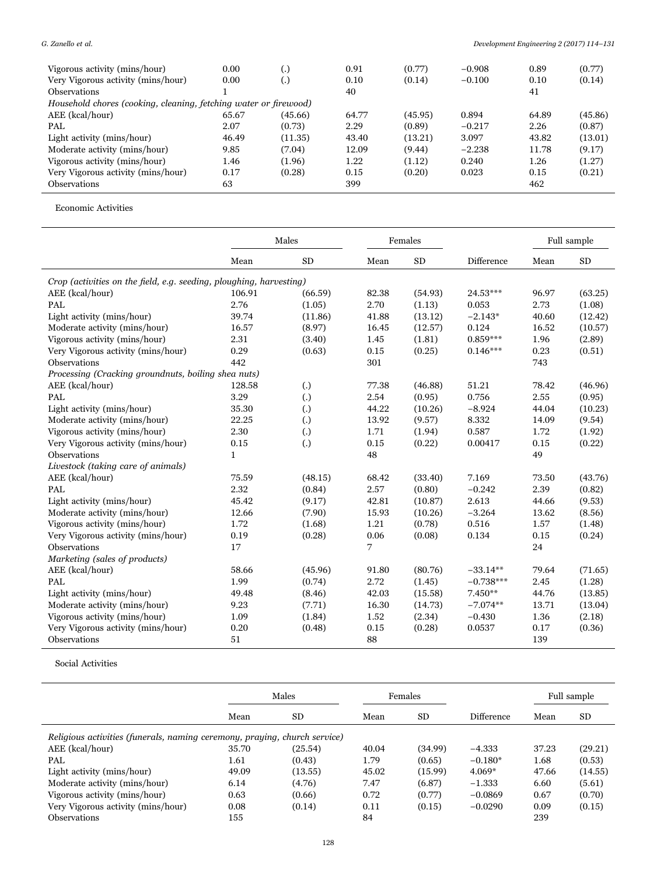G. Zanello et al. *Development Engineering 2 (2017) 114–131*

| Vigorous activity (mins/hour)                                    | 0.00  | $\left( . \right)$ | 0.91  | (0.77)  | $-0.908$ | 0.89  | (0.77)  |  |  |  |
|------------------------------------------------------------------|-------|--------------------|-------|---------|----------|-------|---------|--|--|--|
| Very Vigorous activity (mins/hour)                               | 0.00  | $\left( . \right)$ | 0.10  | (0.14)  | $-0.100$ | 0.10  | (0.14)  |  |  |  |
| <b>Observations</b>                                              |       |                    | 40    |         |          | 41    |         |  |  |  |
| Household chores (cooking, cleaning, fetching water or firewood) |       |                    |       |         |          |       |         |  |  |  |
| AEE (kcal/hour)                                                  | 65.67 | (45.66)            | 64.77 | (45.95) | 0.894    | 64.89 | (45.86) |  |  |  |
| PAL                                                              | 2.07  | (0.73)             | 2.29  | (0.89)  | $-0.217$ | 2.26  | (0.87)  |  |  |  |
| Light activity (mins/hour)                                       | 46.49 | (11.35)            | 43.40 | (13.21) | 3.097    | 43.82 | (13.01) |  |  |  |
| Moderate activity (mins/hour)                                    | 9.85  | (7.04)             | 12.09 | (9.44)  | $-2.238$ | 11.78 | (9.17)  |  |  |  |
| Vigorous activity (mins/hour)                                    | 1.46  | (1.96)             | 1.22  | (1.12)  | 0.240    | 1.26  | (1.27)  |  |  |  |
| Very Vigorous activity (mins/hour)                               | 0.17  | (0.28)             | 0.15  | (0.20)  | 0.023    | 0.15  | (0.21)  |  |  |  |
| <b>Observations</b>                                              | 63    |                    | 399   |         |          | 462   |         |  |  |  |

Economic Activities

 $\overline{a}$ 

|                                                                     | Males  |                    |       | Females   |             | Full sample |           |
|---------------------------------------------------------------------|--------|--------------------|-------|-----------|-------------|-------------|-----------|
|                                                                     | Mean   | <b>SD</b>          | Mean  | <b>SD</b> | Difference  | Mean        | <b>SD</b> |
| Crop (activities on the field, e.g. seeding, ploughing, harvesting) |        |                    |       |           |             |             |           |
| AEE (kcal/hour)                                                     | 106.91 | (66.59)            | 82.38 | (54.93)   | 24.53***    | 96.97       | (63.25)   |
| PAL                                                                 | 2.76   | (1.05)             | 2.70  | (1.13)    | 0.053       | 2.73        | (1.08)    |
| Light activity (mins/hour)                                          | 39.74  | (11.86)            | 41.88 | (13.12)   | $-2.143*$   | 40.60       | (12.42)   |
| Moderate activity (mins/hour)                                       | 16.57  | (8.97)             | 16.45 | (12.57)   | 0.124       | 16.52       | (10.57)   |
| Vigorous activity (mins/hour)                                       | 2.31   | (3.40)             | 1.45  | (1.81)    | $0.859***$  | 1.96        | (2.89)    |
| Very Vigorous activity (mins/hour)                                  | 0.29   | (0.63)             | 0.15  | (0.25)    | $0.146***$  | 0.23        | (0.51)    |
| Observations                                                        | 442    |                    | 301   |           |             | 743         |           |
| Processing (Cracking groundnuts, boiling shea nuts)                 |        |                    |       |           |             |             |           |
| AEE (kcal/hour)                                                     | 128.58 | $\left( .\right)$  | 77.38 | (46.88)   | 51.21       | 78.42       | (46.96)   |
| PAL                                                                 | 3.29   | (.)                | 2.54  | (0.95)    | 0.756       | 2.55        | (0.95)    |
| Light activity (mins/hour)                                          | 35.30  | (.)                | 44.22 | (10.26)   | $-8.924$    | 44.04       | (10.23)   |
| Moderate activity (mins/hour)                                       | 22.25  | (.)                | 13.92 | (9.57)    | 8.332       | 14.09       | (9.54)    |
| Vigorous activity (mins/hour)                                       | 2.30   | $\left( . \right)$ | 1.71  | (1.94)    | 0.587       | 1.72        | (1.92)    |
| Very Vigorous activity (mins/hour)                                  | 0.15   | $\left( . \right)$ | 0.15  | (0.22)    | 0.00417     | 0.15        | (0.22)    |
| Observations                                                        | 1      |                    | 48    |           |             | 49          |           |
| Livestock (taking care of animals)                                  |        |                    |       |           |             |             |           |
| AEE (kcal/hour)                                                     | 75.59  | (48.15)            | 68.42 | (33.40)   | 7.169       | 73.50       | (43.76)   |
| PAL                                                                 | 2.32   | (0.84)             | 2.57  | (0.80)    | $-0.242$    | 2.39        | (0.82)    |
| Light activity (mins/hour)                                          | 45.42  | (9.17)             | 42.81 | (10.87)   | 2.613       | 44.66       | (9.53)    |
| Moderate activity (mins/hour)                                       | 12.66  | (7.90)             | 15.93 | (10.26)   | $-3.264$    | 13.62       | (8.56)    |
| Vigorous activity (mins/hour)                                       | 1.72   | (1.68)             | 1.21  | (0.78)    | 0.516       | 1.57        | (1.48)    |
| Very Vigorous activity (mins/hour)                                  | 0.19   | (0.28)             | 0.06  | (0.08)    | 0.134       | 0.15        | (0.24)    |
| Observations                                                        | 17     |                    | 7     |           |             | 24          |           |
| Marketing (sales of products)                                       |        |                    |       |           |             |             |           |
| AEE (kcal/hour)                                                     | 58.66  | (45.96)            | 91.80 | (80.76)   | $-33.14**$  | 79.64       | (71.65)   |
| PAL                                                                 | 1.99   | (0.74)             | 2.72  | (1.45)    | $-0.738***$ | 2.45        | (1.28)    |
| Light activity (mins/hour)                                          | 49.48  | (8.46)             | 42.03 | (15.58)   | $7.450**$   | 44.76       | (13.85)   |
| Moderate activity (mins/hour)                                       | 9.23   | (7.71)             | 16.30 | (14.73)   | $-7.074**$  | 13.71       | (13.04)   |
| Vigorous activity (mins/hour)                                       | 1.09   | (1.84)             | 1.52  | (2.34)    | $-0.430$    | 1.36        | (2.18)    |
| Very Vigorous activity (mins/hour)                                  | 0.20   | (0.48)             | 0.15  | (0.28)    | 0.0537      | 0.17        | (0.36)    |
| Observations                                                        | 51     |                    | 88    |           |             | 139         |           |

Social Activities

j.

|                                                                           | Males |           |       | Females   |            | Full sample |         |
|---------------------------------------------------------------------------|-------|-----------|-------|-----------|------------|-------------|---------|
|                                                                           | Mean  | <b>SD</b> | Mean  | <b>SD</b> | Difference | Mean        | SD.     |
| Religious activities (funerals, naming ceremony, praying, church service) |       |           |       |           |            |             |         |
| AEE (kcal/hour)                                                           | 35.70 | (25.54)   | 40.04 | (34.99)   | $-4.333$   | 37.23       | (29.21) |
| PAL                                                                       | 1.61  | (0.43)    | 1.79  | (0.65)    | $-0.180*$  | 1.68        | (0.53)  |
| Light activity (mins/hour)                                                | 49.09 | (13.55)   | 45.02 | (15.99)   | $4.069*$   | 47.66       | (14.55) |
| Moderate activity (mins/hour)                                             | 6.14  | (4.76)    | 7.47  | (6.87)    | $-1.333$   | 6.60        | (5.61)  |
| Vigorous activity (mins/hour)                                             | 0.63  | (0.66)    | 0.72  | (0.77)    | $-0.0869$  | 0.67        | (0.70)  |
| Very Vigorous activity (mins/hour)                                        | 0.08  | (0.14)    | 0.11  | (0.15)    | $-0.0290$  | 0.09        | (0.15)  |
| <b>Observations</b>                                                       | 155   |           | 84    |           |            | 239         |         |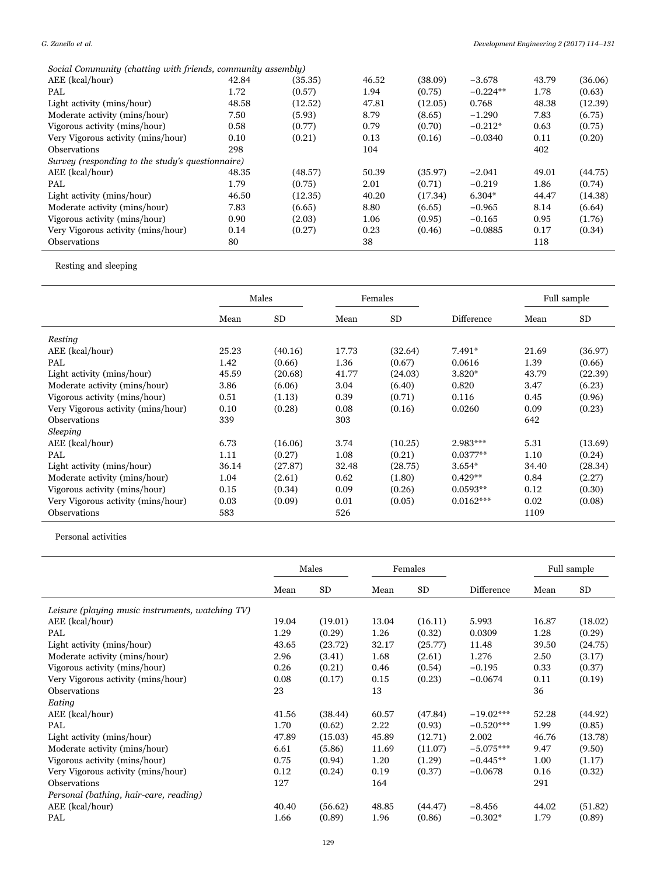Social Community (chatting with friends, community assembly)

| AEE (kcal/hour)                                  | 42.84 | (35.35) | 46.52 | (38.09) | $-3.678$   | 43.79 | (36.06) |
|--------------------------------------------------|-------|---------|-------|---------|------------|-------|---------|
| PAL                                              | 1.72  | (0.57)  | 1.94  | (0.75)  | $-0.224**$ | 1.78  | (0.63)  |
| Light activity (mins/hour)                       | 48.58 | (12.52) | 47.81 | (12.05) | 0.768      | 48.38 | (12.39) |
| Moderate activity (mins/hour)                    | 7.50  | (5.93)  | 8.79  | (8.65)  | $-1.290$   | 7.83  | (6.75)  |
| Vigorous activity (mins/hour)                    | 0.58  | (0.77)  | 0.79  | (0.70)  | $-0.212*$  | 0.63  | (0.75)  |
| Very Vigorous activity (mins/hour)               | 0.10  | (0.21)  | 0.13  | (0.16)  | $-0.0340$  | 0.11  | (0.20)  |
| <b>Observations</b>                              | 298   |         | 104   |         |            | 402   |         |
| Survey (responding to the study's questionnaire) |       |         |       |         |            |       |         |
| AEE (kcal/hour)                                  | 48.35 | (48.57) | 50.39 | (35.97) | $-2.041$   | 49.01 | (44.75) |
| PAL                                              | 1.79  | (0.75)  | 2.01  | (0.71)  | $-0.219$   | 1.86  | (0.74)  |
| Light activity (mins/hour)                       | 46.50 | (12.35) | 40.20 | (17.34) | $6.304*$   | 44.47 | (14.38) |
| Moderate activity (mins/hour)                    | 7.83  | (6.65)  | 8.80  | (6.65)  | $-0.965$   | 8.14  | (6.64)  |
| Vigorous activity (mins/hour)                    | 0.90  | (2.03)  | 1.06  | (0.95)  | $-0.165$   | 0.95  | (1.76)  |
| Very Vigorous activity (mins/hour)               | 0.14  | (0.27)  | 0.23  | (0.46)  | $-0.0885$  | 0.17  | (0.34)  |
| <b>Observations</b>                              | 80    |         | 38    |         |            | 118   |         |
|                                                  |       |         |       |         |            |       |         |

# Resting and sleeping

|                                    | Males |         |            | Females |             |       | Full sample |
|------------------------------------|-------|---------|------------|---------|-------------|-------|-------------|
|                                    | Mean  | SD      | SD<br>Mean |         | Difference  | Mean  | SD          |
| Resting                            |       |         |            |         |             |       |             |
| AEE (kcal/hour)                    | 25.23 | (40.16) | 17.73      | (32.64) | $7.491*$    | 21.69 | (36.97)     |
| PAL                                | 1.42  | (0.66)  | 1.36       | (0.67)  | 0.0616      | 1.39  | (0.66)      |
| Light activity (mins/hour)         | 45.59 | (20.68) | 41.77      | (24.03) | $3.820*$    | 43.79 | (22.39)     |
| Moderate activity (mins/hour)      | 3.86  | (6.06)  | 3.04       | (6.40)  | 0.820       | 3.47  | (6.23)      |
| Vigorous activity (mins/hour)      | 0.51  | (1.13)  | 0.39       | (0.71)  | 0.116       | 0.45  | (0.96)      |
| Very Vigorous activity (mins/hour) | 0.10  | (0.28)  | 0.08       | (0.16)  | 0.0260      | 0.09  | (0.23)      |
| <b>Observations</b>                | 339   |         | 303        |         |             | 642   |             |
| Sleeping                           |       |         |            |         |             |       |             |
| AEE (kcal/hour)                    | 6.73  | (16.06) | 3.74       | (10.25) | 2.983***    | 5.31  | (13.69)     |
| PAL                                | 1.11  | (0.27)  | 1.08       | (0.21)  | $0.0377**$  | 1.10  | (0.24)      |
| Light activity (mins/hour)         | 36.14 | (27.87) | 32.48      | (28.75) | $3.654*$    | 34.40 | (28.34)     |
| Moderate activity (mins/hour)      | 1.04  | (2.61)  | 0.62       | (1.80)  | $0.429**$   | 0.84  | (2.27)      |
| Vigorous activity (mins/hour)      | 0.15  | (0.34)  | 0.09       | (0.26)  | $0.0593**$  | 0.12  | (0.30)      |
| Very Vigorous activity (mins/hour) | 0.03  | (0.09)  | 0.01       | (0.05)  | $0.0162***$ | 0.02  | (0.08)      |
| Observations                       | 583   |         | 526        |         |             | 1109  |             |

Personal activities

|                                                  | Males |           | Females |           |             |       | Full sample |
|--------------------------------------------------|-------|-----------|---------|-----------|-------------|-------|-------------|
|                                                  | Mean  | <b>SD</b> | Mean    | <b>SD</b> | Difference  | Mean  | <b>SD</b>   |
| Leisure (playing music instruments, watching TV) |       |           |         |           |             |       |             |
| AEE (kcal/hour)                                  | 19.04 | (19.01)   | 13.04   | (16.11)   | 5.993       | 16.87 | (18.02)     |
| PAL                                              | 1.29  | (0.29)    | 1.26    | (0.32)    | 0.0309      | 1.28  | (0.29)      |
| Light activity (mins/hour)                       | 43.65 | (23.72)   | 32.17   | (25.77)   | 11.48       | 39.50 | (24.75)     |
| Moderate activity (mins/hour)                    | 2.96  | (3.41)    | 1.68    | (2.61)    | 1.276       | 2.50  | (3.17)      |
| Vigorous activity (mins/hour)                    | 0.26  | (0.21)    | 0.46    | (0.54)    | $-0.195$    | 0.33  | (0.37)      |
| Very Vigorous activity (mins/hour)               | 0.08  | (0.17)    | 0.15    | (0.23)    | $-0.0674$   | 0.11  | (0.19)      |
| Observations                                     | 23    |           | 13      |           |             | 36    |             |
| Eating                                           |       |           |         |           |             |       |             |
| AEE (kcal/hour)                                  | 41.56 | (38.44)   | 60.57   | (47.84)   | $-19.02***$ | 52.28 | (44.92)     |
| PAL                                              | 1.70  | (0.62)    | 2.22    | (0.93)    | $-0.520***$ | 1.99  | (0.85)      |
| Light activity (mins/hour)                       | 47.89 | (15.03)   | 45.89   | (12.71)   | 2.002       | 46.76 | (13.78)     |
| Moderate activity (mins/hour)                    | 6.61  | (5.86)    | 11.69   | (11.07)   | $-5.075***$ | 9.47  | (9.50)      |
| Vigorous activity (mins/hour)                    | 0.75  | (0.94)    | 1.20    | (1.29)    | $-0.445**$  | 1.00  | (1.17)      |
| Very Vigorous activity (mins/hour)               | 0.12  | (0.24)    | 0.19    | (0.37)    | $-0.0678$   | 0.16  | (0.32)      |
| Observations                                     | 127   |           | 164     |           |             | 291   |             |
| Personal (bathing, hair-care, reading)           |       |           |         |           |             |       |             |
| AEE (kcal/hour)                                  | 40.40 | (56.62)   | 48.85   | (44.47)   | $-8.456$    | 44.02 | (51.82)     |
| PAL                                              | 1.66  | (0.89)    | 1.96    | (0.86)    | $-0.302*$   | 1.79  | (0.89)      |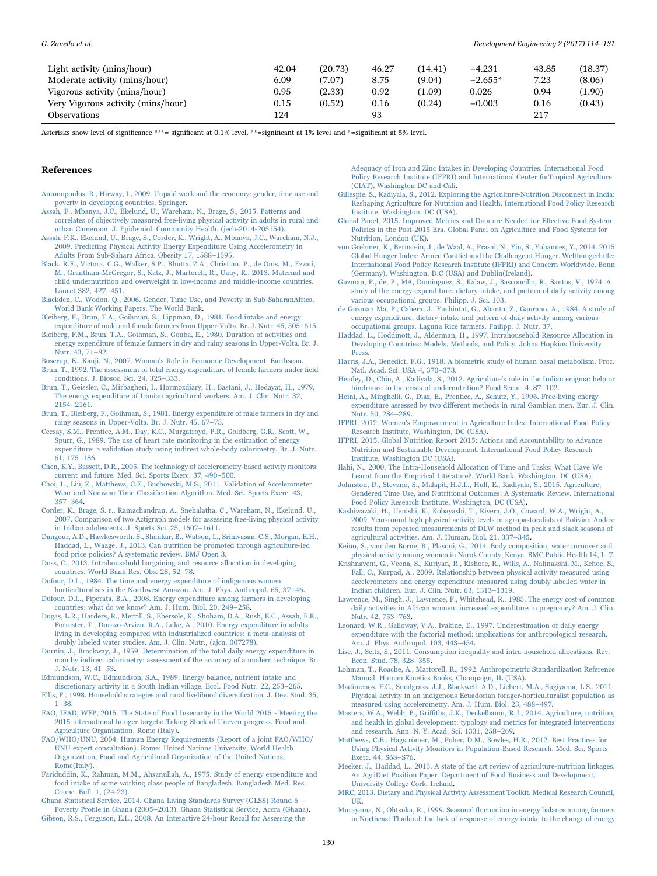| Light activity (mins/hour)         | 42.04 | (20.73) | 46.27 | (14.41) | $-4.231$  | 43.85 | (18.37) |
|------------------------------------|-------|---------|-------|---------|-----------|-------|---------|
| Moderate activity (mins/hour)      | 6.09  | (7.07)  | 8.75  | (9.04)  | $-2.655*$ | 7.23  | (8.06)  |
| Vigorous activity (mins/hour)      | 0.95  | (2.33)  | 0.92  | (1.09)  | 0.026     | 0.94  | (1.90)  |
| Very Vigorous activity (mins/hour) | 0.15  | (0.52)  | 0.16  | (0.24)  | $-0.003$  | 0.16  | (0.43)  |
| <b>Observations</b>                | 124   |         | 93    |         |           | 217   |         |

Asterisks show level of significance \*\*\*= significant at 0.1% level, \*\*=significant at 1% level and \*=significant at 5% level.

#### References

- <span id="page-16-33"></span>[Antonopoulos, R., Hirway, I., 2009. Unpaid work and the economy: gender, time use and](http://refhub.elsevier.com/S2352-7285(16)30084-7/sbref1) [poverty in developing countries. Springer](http://refhub.elsevier.com/S2352-7285(16)30084-7/sbref1).
- <span id="page-16-21"></span>[Assah, F., Mbanya, J.C., Ekelund, U., Wareham, N., Brage, S., 2015. Patterns and](http://refhub.elsevier.com/S2352-7285(16)30084-7/sbref2) [correlates of objectively measured free-living physical activity in adults in rural and](http://refhub.elsevier.com/S2352-7285(16)30084-7/sbref2) [urban Cameroon. J. Epidemiol. Community Health, \(jech-2014-205154\)](http://refhub.elsevier.com/S2352-7285(16)30084-7/sbref2).
- <span id="page-16-20"></span>[Assah, F.K., Ekelund, U., Brage, S., Corder, K., Wright, A., Mbanya, J.C., Wareham, N.J.,](http://refhub.elsevier.com/S2352-7285(16)30084-7/sbref3) [2009. Predicting Physical Activity Energy Expenditure Using Accelerometry in](http://refhub.elsevier.com/S2352-7285(16)30084-7/sbref3) [Adults From Sub-Sahara Africa. Obesity 17, 1588](http://refhub.elsevier.com/S2352-7285(16)30084-7/sbref3)–1595.
- <span id="page-16-2"></span>[Black, R.E., Victora, C.G., Walker, S.P., Bhutta, Z.A., Christian, P., de Onis, M., Ezzati,](http://refhub.elsevier.com/S2352-7285(16)30084-7/sbref4) [M., Grantham-McGregor, S., Katz, J., Martorell, R., Uauy, R., 2013. Maternal and](http://refhub.elsevier.com/S2352-7285(16)30084-7/sbref4) [child undernutrition and overweight in low-income and middle-income countries.](http://refhub.elsevier.com/S2352-7285(16)30084-7/sbref4) [Lancet 382, 427](http://refhub.elsevier.com/S2352-7285(16)30084-7/sbref4)–451.
- <span id="page-16-4"></span>[Blackden, C., Wodon, Q., 2006. Gender, Time Use, and Poverty in Sub-SaharanAfrica.](http://refhub.elsevier.com/S2352-7285(16)30084-7/sbref5) [World Bank Working Papers. The World Bank](http://refhub.elsevier.com/S2352-7285(16)30084-7/sbref5).
- <span id="page-16-11"></span>[Bleiberg, F., Brun, T.A., Goihman, S., Lippman, D., 1981. Food intake and energy](http://refhub.elsevier.com/S2352-7285(16)30084-7/sbref6) [expenditure of male and female farmers from Upper-Volta. Br. J. Nutr. 45, 505](http://refhub.elsevier.com/S2352-7285(16)30084-7/sbref6)–515.
- <span id="page-16-27"></span>[Bleiberg, F.M., Brun, T.A., Goihman, S., Gouba, E., 1980. Duration of activities and](http://refhub.elsevier.com/S2352-7285(16)30084-7/sbref7) [energy expenditure of female farmers in dry and rainy seasons in Upper-Volta. Br. J.](http://refhub.elsevier.com/S2352-7285(16)30084-7/sbref7) [Nutr. 43, 71](http://refhub.elsevier.com/S2352-7285(16)30084-7/sbref7)–82.

<span id="page-16-41"></span><span id="page-16-29"></span>[Boserup, E., Kanji, N., 2007. Woman's Role in Economic Development. Earthscan.](http://refhub.elsevier.com/S2352-7285(16)30084-7/sbref8) [Brun, T., 1992. The assessment of total energy expenditure of female farmers under](http://refhub.elsevier.com/S2352-7285(16)30084-7/sbref9) field [conditions. J. Biosoc. Sci. 24, 325](http://refhub.elsevier.com/S2352-7285(16)30084-7/sbref9)–333.

- <span id="page-16-26"></span>[Brun, T., Geissler, C., Mirbagheri, I., Hormozdiary, H., Bastani, J., Hedayat, H., 1979.](http://refhub.elsevier.com/S2352-7285(16)30084-7/sbref10) [The energy expenditure of Iranian agricultural workers. Am. J. Clin. Nutr. 32,](http://refhub.elsevier.com/S2352-7285(16)30084-7/sbref10) 2154–[2161](http://refhub.elsevier.com/S2352-7285(16)30084-7/sbref10).
- <span id="page-16-30"></span>[Brun, T., Bleiberg, F., Goihman, S., 1981. Energy expenditure of male farmers in dry and](http://refhub.elsevier.com/S2352-7285(16)30084-7/sbref11) [rainy seasons in Upper-Volta. Br. J. Nutr. 45, 67](http://refhub.elsevier.com/S2352-7285(16)30084-7/sbref11)–75.
- <span id="page-16-9"></span>[Ceesay, S.M., Prentice, A.M., Day, K.C., Murgatroyd, P.R., Goldberg, G.R., Scott, W.,](http://refhub.elsevier.com/S2352-7285(16)30084-7/sbref12) [Spurr, G., 1989. The use of heart rate monitoring in the estimation of energy](http://refhub.elsevier.com/S2352-7285(16)30084-7/sbref12) [expenditure: a validation study using indirect whole-body calorimetry. Br. J. Nutr.](http://refhub.elsevier.com/S2352-7285(16)30084-7/sbref12) [61, 175](http://refhub.elsevier.com/S2352-7285(16)30084-7/sbref12)–186.
- <span id="page-16-37"></span>[Chen, K.Y., Bassett, D.R., 2005. The technology of accelerometry-based activity monitors:](http://refhub.elsevier.com/S2352-7285(16)30084-7/sbref13) [current and future. Med. Sci. Sports Exerc. 37, 490](http://refhub.elsevier.com/S2352-7285(16)30084-7/sbref13)–500.
- <span id="page-16-38"></span>[Choi, L., Liu, Z., Matthews, C.E., Buchowski, M.S., 2011. Validation of Accelerometer](http://refhub.elsevier.com/S2352-7285(16)30084-7/sbref14) Wear and Nonwear Time Classifi[cation Algorithm. Med. Sci. Sports Exerc. 43,](http://refhub.elsevier.com/S2352-7285(16)30084-7/sbref14) 357–[364](http://refhub.elsevier.com/S2352-7285(16)30084-7/sbref14).
- <span id="page-16-24"></span>[Corder, K., Brage, S. r., Ramachandran, A., Snehalatha, C., Wareham, N., Ekelund, U.,](http://refhub.elsevier.com/S2352-7285(16)30084-7/sbref15) [2007. Comparison of two Actigraph models for assessing free-living physical activity](http://refhub.elsevier.com/S2352-7285(16)30084-7/sbref15) [in Indian adolescents. J. Sports Sci. 25, 1607](http://refhub.elsevier.com/S2352-7285(16)30084-7/sbref15)–1611.
- <span id="page-16-3"></span>[Dangour, A.D., Hawkesworth, S., Shankar, B., Watson, L., Srinivasan, C.S., Morgan, E.H.,](http://refhub.elsevier.com/S2352-7285(16)30084-7/sbref16) [Haddad, L., Waage, J., 2013. Can nutrition be promoted through agriculture-led](http://refhub.elsevier.com/S2352-7285(16)30084-7/sbref16) [food price policies? A systematic review. BMJ Open 3](http://refhub.elsevier.com/S2352-7285(16)30084-7/sbref16).
- <span id="page-16-5"></span>[Doss, C., 2013. Intrahousehold bargaining and resource allocation in developing](http://refhub.elsevier.com/S2352-7285(16)30084-7/sbref17) [countries. World Bank Res. Obs. 28, 52](http://refhub.elsevier.com/S2352-7285(16)30084-7/sbref17)–78.
- <span id="page-16-31"></span>[Dufour, D.L., 1984. The time and energy expenditure of indigenous women](http://refhub.elsevier.com/S2352-7285(16)30084-7/sbref18) [horticulturalists in the Northwest Amazon. Am. J. Phys. Anthropol. 65, 37](http://refhub.elsevier.com/S2352-7285(16)30084-7/sbref18)–46. [Dufour, D.L., Piperata, B.A., 2008. Energy expenditure among farmers in developing](http://refhub.elsevier.com/S2352-7285(16)30084-7/sbref19)
- <span id="page-16-18"></span><span id="page-16-7"></span>[countries: what do we know? Am. J. Hum. Biol. 20, 249](http://refhub.elsevier.com/S2352-7285(16)30084-7/sbref19)–258. [Dugas, L.R., Harders, R., Merrill, S., Ebersole, K., Shoham, D.A., Rush, E.C., Assah, F.K.,](http://refhub.elsevier.com/S2352-7285(16)30084-7/sbref20)
- [Forrester, T., Durazo-Arvizu, R.A., Luke, A., 2010. Energy expenditure in adults](http://refhub.elsevier.com/S2352-7285(16)30084-7/sbref20) [living in developing compared with industrialized countries: a meta-analysis of](http://refhub.elsevier.com/S2352-7285(16)30084-7/sbref20) [doubly labeled water studies. Am. J. Clin. Nutr., \(ajcn. 007278\)](http://refhub.elsevier.com/S2352-7285(16)30084-7/sbref20).
- <span id="page-16-8"></span>Durnin, [J., Brockway, J., 1959. Determination of the total daily energy expenditure in](http://refhub.elsevier.com/S2352-7285(16)30084-7/sbref21) [man by indirect calorimetry: assessment of the accuracy of a modern technique. Br.](http://refhub.elsevier.com/S2352-7285(16)30084-7/sbref21) [J. Nutr. 13, 41](http://refhub.elsevier.com/S2352-7285(16)30084-7/sbref21)–53.
- <span id="page-16-12"></span>[Edmundson, W.C., Edmundson, S.A., 1989. Energy balance, nutrient intake and](http://refhub.elsevier.com/S2352-7285(16)30084-7/sbref22) [discretionary activity in a South Indian village. Ecol. Food Nutr. 22, 253](http://refhub.elsevier.com/S2352-7285(16)30084-7/sbref22)–265.
- <span id="page-16-45"></span>[Ellis, F., 1998. Household strategies and rural livelihood diversi](http://refhub.elsevier.com/S2352-7285(16)30084-7/sbref23)fication. J. Dev. Stud. 35, 1–[38](http://refhub.elsevier.com/S2352-7285(16)30084-7/sbref23).
- <span id="page-16-42"></span>[FAO, IFAD, WFP, 2015. The State of Food Insecurity in the World 2015 - Meeting the](http://refhub.elsevier.com/S2352-7285(16)30084-7/sbref24) [2015 international hunger targets: Taking Stock of Uneven progress. Food and](http://refhub.elsevier.com/S2352-7285(16)30084-7/sbref24) [Agriculture Organization, Rome \(Italy\).](http://refhub.elsevier.com/S2352-7285(16)30084-7/sbref24)
- <span id="page-16-10"></span>[FAO/WHO/UNU, 2004. Human Energy Requirements \(Report of a joint FAO/WHO/](http://refhub.elsevier.com/S2352-7285(16)30084-7/sbref25) [UNU expert consultation\). Rome: United Nations University, World Health](http://refhub.elsevier.com/S2352-7285(16)30084-7/sbref25) [Organization, Food and Agricultural Organization of the United Nations,](http://refhub.elsevier.com/S2352-7285(16)30084-7/sbref25) [Rome\(Italy\).](http://refhub.elsevier.com/S2352-7285(16)30084-7/sbref25)
- <span id="page-16-32"></span>[Fariduddin, K., Rahman, M.M., Ahsanullah, A., 1975. Study of energy expenditure and](http://refhub.elsevier.com/S2352-7285(16)30084-7/sbref26) [food intake of some working class people of Bangladesh. Bangladesh Med. Res.](http://refhub.elsevier.com/S2352-7285(16)30084-7/sbref26) [Counc. Bull. 1, \(24-23\).](http://refhub.elsevier.com/S2352-7285(16)30084-7/sbref26)
- <span id="page-16-40"></span><span id="page-16-36"></span>[Ghana Statistical Service, 2014. Ghana Living Standards Survey \(GLSS\) Round 6](http://refhub.elsevier.com/S2352-7285(16)30084-7/sbref27) – Poverty Profile in Ghana (2005–[2013\). Ghana Statistical Service, Accra \(Ghana\).](http://refhub.elsevier.com/S2352-7285(16)30084-7/sbref27) [Gibson, R.S., Ferguson, E.L., 2008. An Interactive 24-hour Recall for Assessing the](http://refhub.elsevier.com/S2352-7285(16)30084-7/sbref28)

[Adequacy of Iron and Zinc Intakes in Developing Countries. International Food](http://refhub.elsevier.com/S2352-7285(16)30084-7/sbref28) [Policy Research Institute \(IFPRI\) and International Center forTropical Agriculture](http://refhub.elsevier.com/S2352-7285(16)30084-7/sbref28) [\(CIAT\), Washington DC and Cali](http://refhub.elsevier.com/S2352-7285(16)30084-7/sbref28).

- <span id="page-16-0"></span>[Gillespie, S., Kadiyala, S., 2012. Exploring the Agriculture-Nutrition Disconnect in India:](http://refhub.elsevier.com/S2352-7285(16)30084-7/sbref29) [Reshaping Agriculture for Nutrition and Health. International Food Policy Research](http://refhub.elsevier.com/S2352-7285(16)30084-7/sbref29) [Institute, Washington, DC \(USA\)](http://refhub.elsevier.com/S2352-7285(16)30084-7/sbref29).
- <span id="page-16-43"></span>[Global Panel, 2015. Improved Metrics and Data are Needed for E](http://refhub.elsevier.com/S2352-7285(16)30084-7/sbref30)ffective Food System [Policies in the Post-2015 Era. Global Panel on Agriculture and Food Systems for](http://refhub.elsevier.com/S2352-7285(16)30084-7/sbref30) [Nutrition, London \(UK\).](http://refhub.elsevier.com/S2352-7285(16)30084-7/sbref30)
- [von Grebmer, K., Bernstein, J., de Waal, A., Prasai, N., Yin, S., Yohannes, Y., 2014. 2015](http://refhub.elsevier.com/S2352-7285(16)30084-7/sbref31) Global Hunger Index: Armed Confl[ict and the Challenge of Hunger. Welthungerhilfe;](http://refhub.elsevier.com/S2352-7285(16)30084-7/sbref31) [International Food Policy Research Institute \(IFPRI\) and Concern Worldwide, Bonn](http://refhub.elsevier.com/S2352-7285(16)30084-7/sbref31) [\(Germany\), Washington, D.C \(USA\) and Dublin\(Ireland\)](http://refhub.elsevier.com/S2352-7285(16)30084-7/sbref31).
- <span id="page-16-13"></span>[Guzman, P., de, P., MA, Dominguez, S., Kalaw, J., Basconcillo, R., Santos, V., 1974. A](http://refhub.elsevier.com/S2352-7285(16)30084-7/sbref32) [study of the energy expenditure, dietary intake, and pattern of daily activity among](http://refhub.elsevier.com/S2352-7285(16)30084-7/sbref32) [various occupational groups. Philipp. J. Sci. 103](http://refhub.elsevier.com/S2352-7285(16)30084-7/sbref32).
- [de Guzman Ma, P., Cabera, J., Yuchintat, G., Abanto, Z., Gaurano, A., 1984. A study of](http://refhub.elsevier.com/S2352-7285(16)30084-7/sbref33) [energy expenditure, dietary intake and pattern of daily activity among various](http://refhub.elsevier.com/S2352-7285(16)30084-7/sbref33) [occupational groups. Laguna Rice farmers. Philipp. J. Nutr. 37](http://refhub.elsevier.com/S2352-7285(16)30084-7/sbref33).
- [Haddad, L., Hoddinott, J., Alderman, H., 1997. Intrahousehold Resource Allocation in](http://refhub.elsevier.com/S2352-7285(16)30084-7/sbref34) [Developing Countries: Models, Methods, and Policy. Johns Hopkins University](http://refhub.elsevier.com/S2352-7285(16)30084-7/sbref34) [Press.](http://refhub.elsevier.com/S2352-7285(16)30084-7/sbref34)
- <span id="page-16-39"></span>[Harris, J.A., Benedict, F.G., 1918. A biometric study of human basal metabolism. Proc.](http://refhub.elsevier.com/S2352-7285(16)30084-7/sbref35) [Natl. Acad. Sci. USA 4, 370](http://refhub.elsevier.com/S2352-7285(16)30084-7/sbref35)–373.
- [Headey, D., Chiu, A., Kadiyala, S., 2012. Agriculture's role in the Indian enigma: help or](http://refhub.elsevier.com/S2352-7285(16)30084-7/sbref36) [hindrance to the crisis of undernutrition? Food Secur. 4, 87](http://refhub.elsevier.com/S2352-7285(16)30084-7/sbref36)-102.
- <span id="page-16-14"></span>[Heini, A., Minghelli, G., Diaz, E., Prentice, A., Schutz, Y., 1996. Free-living energy](http://refhub.elsevier.com/S2352-7285(16)30084-7/sbref37) expenditure assessed by two diff[erent methods in rural Gambian men. Eur. J. Clin.](http://refhub.elsevier.com/S2352-7285(16)30084-7/sbref37) [Nutr. 50, 284](http://refhub.elsevier.com/S2352-7285(16)30084-7/sbref37)–289.
- <span id="page-16-35"></span>[IFPRI, 2012. Women's Empowerment in Agriculture Index. International Food Policy](http://refhub.elsevier.com/S2352-7285(16)30084-7/sbref38) [Research Institute, Washington, DC \(USA\)](http://refhub.elsevier.com/S2352-7285(16)30084-7/sbref38).
- [IFPRI, 2015. Global Nutrition Report 2015: Actions and Accountability to Advance](http://refhub.elsevier.com/S2352-7285(16)30084-7/sbref39) [Nutrition and Sustainable Development. International Food Policy Research](http://refhub.elsevier.com/S2352-7285(16)30084-7/sbref39) [Institute, Washington DC \(USA\)](http://refhub.elsevier.com/S2352-7285(16)30084-7/sbref39).
- [Ilahi, N., 2000. The Intra-Household Allocation of Time and Tasks: What Have We](http://refhub.elsevier.com/S2352-7285(16)30084-7/sbref40) [Learnt from the Empirical Literature?. World Bank, Washington, DC \(USA\)](http://refhub.elsevier.com/S2352-7285(16)30084-7/sbref40).
- <span id="page-16-1"></span>[Johnston, D., Stevano, S., Malapit, H.J.L., Hull, E., Kadiyala, S., 2015. Agriculture,](http://refhub.elsevier.com/S2352-7285(16)30084-7/sbref41) [Gendered Time Use, and Nutritional Outcomes: A Systematic Review. International](http://refhub.elsevier.com/S2352-7285(16)30084-7/sbref41) Food [Policy Research Institute, Washington, DC \(USA\).](http://refhub.elsevier.com/S2352-7285(16)30084-7/sbref41)
- <span id="page-16-25"></span>[Kashiwazaki, H., Uenishi, K., Kobayashi, T., Rivera, J.O., Coward, W.A., Wright, A.,](http://refhub.elsevier.com/S2352-7285(16)30084-7/sbref42) 2009. Year-[round high physical activity levels in agropastoralists of Bolivian Andes:](http://refhub.elsevier.com/S2352-7285(16)30084-7/sbref42) [results from repeated measurements of DLW method in peak and slack seasons of](http://refhub.elsevier.com/S2352-7285(16)30084-7/sbref42) [agricultural activities. Am. J. Human. Biol. 21, 337](http://refhub.elsevier.com/S2352-7285(16)30084-7/sbref42)–345.
- <span id="page-16-23"></span>[Keino, S., van den Borne, B., Plasqui, G., 2014. Body composition, water turnover and](http://refhub.elsevier.com/S2352-7285(16)30084-7/sbref43) [physical activity among women in Narok County, Kenya. BMC Public Health 14, 1](http://refhub.elsevier.com/S2352-7285(16)30084-7/sbref43)–7.
- [Krishnaveni, G., Veena, S., Kuriyan, R., Kishore, R., Wills, A., Nalinakshi, M., Kehoe, S.,](http://refhub.elsevier.com/S2352-7285(16)30084-7/sbref44) [Fall, C., Kurpad, A., 2009. Relationship between physical activity measured using](http://refhub.elsevier.com/S2352-7285(16)30084-7/sbref44) [accelerometers and energy expenditure measured using doubly labelled water in](http://refhub.elsevier.com/S2352-7285(16)30084-7/sbref44) [Indian children. Eur. J. Clin. Nutr. 63, 1313](http://refhub.elsevier.com/S2352-7285(16)30084-7/sbref44)–1319.
- <span id="page-16-28"></span>[Lawrence, M., Singh, J., Lawrence, F., Whitehead, R., 1985. The energy cost of common](http://refhub.elsevier.com/S2352-7285(16)30084-7/sbref45) [daily activities in African women: increased expenditure in pregnancy? Am. J. Clin.](http://refhub.elsevier.com/S2352-7285(16)30084-7/sbref45) [Nutr. 42, 753](http://refhub.elsevier.com/S2352-7285(16)30084-7/sbref45)–763.
- <span id="page-16-17"></span>[Leonard, W.R., Galloway, V.A., Ivakine, E., 1997. Underestimation of daily energy](http://refhub.elsevier.com/S2352-7285(16)30084-7/sbref46) [expenditure with the factorial method: implications for anthropological research.](http://refhub.elsevier.com/S2352-7285(16)30084-7/sbref46) [Am. J. Phys. Anthropol. 103, 443](http://refhub.elsevier.com/S2352-7285(16)30084-7/sbref46)–454.
- <span id="page-16-6"></span>[Lise, J., Seitz, S., 2011. Consumption inequality and intra-household allocations. Rev.](http://refhub.elsevier.com/S2352-7285(16)30084-7/sbref47) [Econ. Stud. 78, 328](http://refhub.elsevier.com/S2352-7285(16)30084-7/sbref47)–355.
- <span id="page-16-34"></span>[Lohman, T., Roache, A., Martorell, R., 1992. Anthropometric Standardization Reference](http://refhub.elsevier.com/S2352-7285(16)30084-7/sbref48) [Manual. Human Kinetics Books, Champaign, IL \(USA\).](http://refhub.elsevier.com/S2352-7285(16)30084-7/sbref48)
- <span id="page-16-22"></span>[Madimenos, F.C., Snodgrass, J.J., Blackwell, A.D., Liebert, M.A., Sugiyama, L.S., 2011.](http://refhub.elsevier.com/S2352-7285(16)30084-7/sbref49) [Physical activity in an indigenous Ecuadorian forager](http://refhub.elsevier.com/S2352-7285(16)30084-7/sbref49)‐horticulturalist population as [measured using accelerometry. Am. J. Hum. Biol. 23, 488](http://refhub.elsevier.com/S2352-7285(16)30084-7/sbref49)–497.
- <span id="page-16-44"></span>Masters, W.A., Webb, P., Griffi[ths, J.K., Deckelbaum, R.J., 2014. Agriculture, nutrition,](http://refhub.elsevier.com/S2352-7285(16)30084-7/sbref50) [and health in global development: typology and metrics for integrated interventions](http://refhub.elsevier.com/S2352-7285(16)30084-7/sbref50) [and research. Ann. N. Y. Acad. Sci. 1331, 258](http://refhub.elsevier.com/S2352-7285(16)30084-7/sbref50)–269.
- <span id="page-16-19"></span>[Matthews, C.E., Hagströmer, M., Pober, D.M., Bowles, H.R., 2012. Best Practices for](http://refhub.elsevier.com/S2352-7285(16)30084-7/sbref51) [Using Physical Activity Monitors in Population-Based Research. Med. Sci. Sports](http://refhub.elsevier.com/S2352-7285(16)30084-7/sbref51) [Exerc. 44, S68](http://refhub.elsevier.com/S2352-7285(16)30084-7/sbref51)–S76.
- [Meeker, J., Haddad, L., 2013. A state of the art review of agriculture-nutrition linkages.](http://refhub.elsevier.com/S2352-7285(16)30084-7/sbref52) [An AgriDiet Position Paper. Department of Food Business and Development,](http://refhub.elsevier.com/S2352-7285(16)30084-7/sbref52) [University College Cork, Ireland.](http://refhub.elsevier.com/S2352-7285(16)30084-7/sbref52)
- <span id="page-16-16"></span>[MRC, 2013. Dietary and Physical Activity Assessment Toolkit. Medical Research Council,](http://refhub.elsevier.com/S2352-7285(16)30084-7/sbref53) [UK.](http://refhub.elsevier.com/S2352-7285(16)30084-7/sbref53)
- <span id="page-16-15"></span>[Murayama, N., Ohtsuka, R., 1999. Seasonal](http://refhub.elsevier.com/S2352-7285(16)30084-7/sbref54) fluctuation in energy balance among farmers [in Northeast Thailand: the lack of response of energy intake to the change of energy](http://refhub.elsevier.com/S2352-7285(16)30084-7/sbref54)